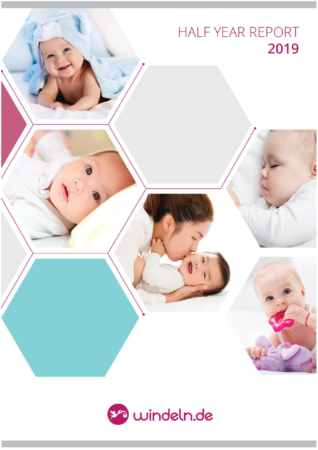# HALF YEAR REPORT 2019

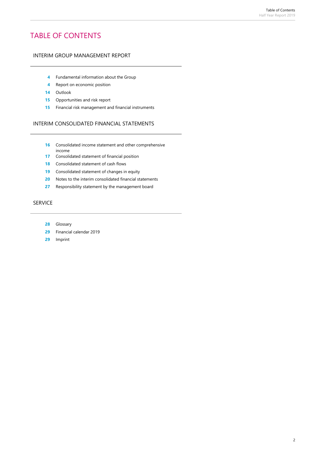# TABLE OF CONTENTS

#### INTERIM GROUP MANAGEMENT REPORT

- Fundamental information about the Group
- Report on economic position
- Outlook
- Opportunities and risk report
- Financial risk management and financial instruments

#### INTERIM CONSOLIDATED FINANCIAL STATEMENTS

- Consolidated income statement and other comprehensive income
- Consolidated statement of financial position
- Consolidated statement of cash flows
- Consolidated statement of changes in equity
- Notes to the interim consolidated financial statements
- Responsibility statement by the management board

#### SERVICE

- Glossary
- Financial calendar 2019
- Imprint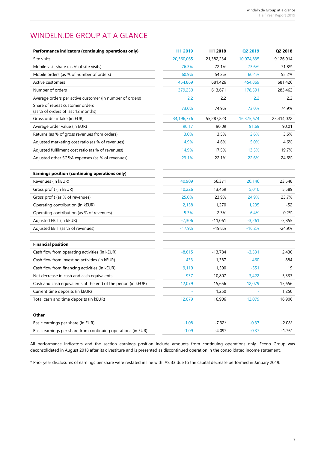# WINDELN.DE GROUP AT A GLANCE

| Performance indicators (continuing operations only)          | H1 2019      | H1 2018    | Q2 2019    | Q2 2018    |
|--------------------------------------------------------------|--------------|------------|------------|------------|
| Site visits                                                  | 20,560,065   | 21,382,234 | 10,074,835 | 9,126,914  |
| Mobile visit share (as % of site visits)                     | 76.3%        | 72.1%      | 73.6%      | 71.8%      |
| Mobile orders (as % of number of orders)                     | 60.9%        | 54.2%      | 60.4%      | 55.2%      |
| Active customers                                             | 454,869      | 681,426    | 454,869    | 681,426    |
| Number of orders                                             | 379,250      | 613,671    | 178,591    | 283,462    |
| Average orders per active customer (in number of orders)     | 2.2          | 2.2        | 2.2        | 2.2        |
| Share of repeat customer orders                              | 73.0%        | 74.9%      | 73.0%      | 74.9%      |
| (as % of orders of last 12 months)                           |              |            |            |            |
| Gross order intake (in EUR)                                  | 34, 196, 776 | 55,287,823 | 16,375,674 | 25,414,022 |
| Average order value (in EUR)                                 | 90.17        | 90.09      | 91.69      | 90.01      |
| Returns (as % of gross revenues from orders)                 | 3.0%         | 3.5%       | 2.6%       | 3.6%       |
| Adjusted marketing cost ratio (as % of revenues)             | 4.9%         | 4.6%       | 5.0%       | 4.6%       |
| Adjusted fulfilment cost ratio (as % of revenues)            | 14.9%        | 17.5%      | 13.5%      | 19.7%      |
| Adjusted other SG&A expenses (as % of revenues)              | 23.1%        | 22.1%      | 22.6%      | 24.6%      |
|                                                              |              |            |            |            |
| Earnings position (continuing operations only)               |              |            |            |            |
| Revenues (in kEUR)                                           | 40,909       | 56,371     | 20,146     | 23,548     |
| Gross profit (in kEUR)                                       | 10,226       | 13,459     | 5,010      | 5,589      |
| Gross profit (as % of revenues)                              | 25.0%        | 23.9%      | 24.9%      | 23.7%      |
| Operating contribution (in kEUR)                             | 2,158        | 1,270      | 1,295      | $-52$      |
| Operating contribution (as % of revenues)                    | 5.3%         | 2.3%       | 6.4%       | $-0.2%$    |
| Adjusted EBIT (in kEUR)                                      | $-7,306$     | $-11,061$  | $-3,261$   | $-5,855$   |
| Adjusted EBIT (as % of revenues)                             | $-17.9%$     | $-19.8%$   | $-16.2%$   | $-24.9%$   |
|                                                              |              |            |            |            |
| <b>Financial position</b>                                    |              |            |            |            |
| Cash flow from operating activities (in kEUR)                | $-8,615$     | $-13,784$  | $-3,331$   | 2,430      |
| Cash flow from investing activities (in kEUR)                | 433          | 1,387      | 460        | 884        |
| Cash flow from financing activities (in kEUR)                | 9,119        | 1,590      | $-551$     | 19         |
| Net decrease in cash and cash equivalents                    | 937          | $-10,807$  | $-3,422$   | 3,333      |
| Cash and cash equivalents at the end of the period (in kEUR) | 12,079       | 15,656     | 12,079     | 15,656     |
| Current time deposits (in kEUR)                              |              | 1,250      |            | 1,250      |
| Total cash and time deposits (in kEUR)                       | 12,079       | 16,906     | 12,079     | 16,906     |
|                                                              |              |            |            |            |
| Other                                                        |              |            |            |            |
| Basic earnings per share (in EUR)                            | $-1.08$      | $-7.32*$   | $-0.37$    | $-2.08*$   |
| Basic earnings per share from continuing operations (in EUR) | $-1.09$      | $-4.09*$   | $-0.37$    | $-1.76*$   |

All performance indicators and the section earnings position include amounts from continuing operations only. Feedo Group was deconsolidated in August 2018 after its divestiture and is presented as discontinued operation in the consolidated income statement.

\* Prior year disclosures of earnings per share were restated in line with IAS 33 due to the capital decrease performed in January 2019.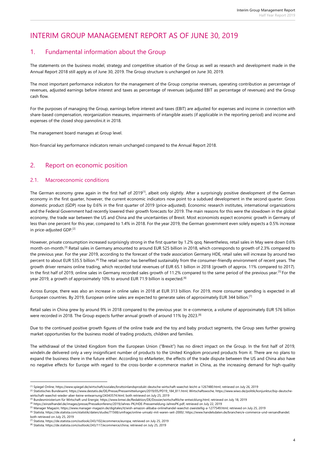# INTERIM GROUP MANAGEMENT REPORT AS OF JUNE 30, 2019

### 1. Fundamental information about the Group

The statements on the business model, strategy and competitive situation of the Group as well as research and development made in the Annual Report 2018 still apply as of June 30, 2019. The Group structure is unchanged on June 30, 2019.

The most important performance indicators for the management of the Group comprise revenues, operating contribution as percentage of revenues, adjusted earnings before interest and taxes as percentage of revenues (adjusted EBIT as percentage of revenues) and the Group cash flow.

For the purposes of managing the Group, earnings before interest and taxes (EBIT) are adjusted for expenses and income in connection with share-based compensation, reorganization measures, impairments of intangible assets (if applicable in the reporting period) and income and expenses of the closed shop pannolini.it in 2018.

The management board manages at Group level.

Non-financial key performance indicators remain unchanged compared to the Annual Report 2018.

### 2. Report on economic position

#### 2.1. Macroeconomic conditions

The German economy grew again in the first half of 2019<sup>[1]</sup>, albeit only slightly. After a surprisingly positive development of the German economy in the first quarter, however, the current economic indicators now point to a subdued development in the second quarter. Gross domestic product (GDP) rose by 0.6% in the first quarter of 2019 (price-adjusted). Economic research institutes, international organizations and the Federal Government had recently lowered their growth forecasts for 2019. The main reasons for this were the slowdown in the global economy, the trade war between the US and China and the uncertainties of Brexit. Most economists expect economic growth in Germany of less than one percent for this year, compared to 1.4% in 2018. For the year 2019, the German government even solely expects a 0.5% increase in price-adjusted GDP.[2]

However, private consumption increased surprisingly strong in the first quarter by 1.2% qoq. Nevertheless, retail sales in May were down 0.6% month-on-month.[3] Retail sales in Germany amounted to around EUR 525 billion in 2018, which corresponds to growth of 2.3% compared to the previous year. For the year 2019, according to the forecast of the trade association Germany HDE, retail sales will increase by around two percent to about EUR 535.5 billion.[4] The retail sector has benefited sustainably from the consumer-friendly environment of recent years. The growth driver remains online trading, which recorded total revenues of EUR 65.1 billion in 2018 (growth of approx. 11% compared to 2017). In the first half of 2019, online sales in Germany recorded sales growth of 11.2% compared to the same period of the previous year.<sup>[5]</sup> For the year 2019, a growth of approximately 10% to around EUR 71.9 billion is expected.<sup>[6]</sup>

Across Europe, there was also an increase in online sales in 2018 at EUR 313 billion. For 2019, more consumer spending is expected in all European countries. By 2019, European online sales are expected to generate sales of approximately EUR 344 billion.<sup>[7]</sup>

Retail sales in China grew by around 9% in 2018 compared to the previous year. In e-commerce, a volume of approximately EUR 576 billion were recorded in 2018. The Group expects further annual growth of around 11% by 2023.<sup>[8]</sup>

Due to the continued positive growth figures of the online trade and the toy and baby product segments, the Group sees further growing market opportunities for the business model of trading products, children and families.

The withdrawal of the United Kingdom from the European Union ("Brexit") has no direct impact on the Group. In the first half of 2019, windeln.de delivered only a very insignificant number of products to the United Kingdom procured products from it. There are no plans to expand the business there in the future either. According to eMarketer, the effects of the trade dispute between the US and China also have no negative effects for Europe with regard to the cross-border e-commerce market in China, as the increasing demand for high-quality

1

<sup>[1]</sup> Spiegel Online[; https://www.spiegel.de/wirtschaft/soziales/bruttoinlandsprodukt-deutsche-wirtschaft-waechst-leicht-a-1267480.html;](https://www.spiegel.de/wirtschaft/soziales/bruttoinlandsprodukt-deutsche-wirtschaft-waechst-leicht-a-1267480.html) retrieved on July 26, 2019

<sup>[2]</sup> Statistisches Bundesamt[; https://www.destatis.de/DE/Presse/Pressemitteilungen/2019/05/PD19\\_184\\_811.html;](https://www.destatis.de/DE/Presse/Pressemitteilungen/2019/05/PD19_184_811.html) Wirtschaftswoche[; https://www.wiwo.de/politik/konjunktur/bip-deutsche](https://www.wiwo.de/politik/konjunktur/bip-deutsche-wirtschaft-waechst-wieder-aber-keine-entwarnung/24343574.html)[wirtschaft-waechst-wieder-aber-keine-entwarnung/24343574.html;](https://www.wiwo.de/politik/konjunktur/bip-deutsche-wirtschaft-waechst-wieder-aber-keine-entwarnung/24343574.html) both retrieved on July 25, 2019

<sup>[3]</sup> Bundesministerium für Wirtschaft und Energie[; https://www.bmwi.de/Redaktion/DE/Dossier/wirtschaftliche-entwicklung.html;](https://www.bmwi.de/Redaktion/DE/Dossier/wirtschaftliche-entwicklung.html) retrieved on July 18, 2019

<sup>[4]</sup> [https://einzelhandel.de/images/presse/Pressekonferenz/2019/Jahres-PK/HDE-Pressemeldung-JahresPK.pdf;](https://einzelhandel.de/images/presse/Pressekonferenz/2019/Jahres-PK/HDE-Pressemeldung-JahresPK.pdf) retrieved on July 22, 2019

<sup>[5]</sup> Manager Magazin[; https://www.manager-magazin.de/digitales/it/wish-amazon-alibaba-onlinehandel-waechst-zweistellig-a-1277549.html;](https://www.manager-magazin.de/digitales/it/wish-amazon-alibaba-onlinehandel-waechst-zweistellig-a-1277549.html) retrieved on July 25, 2019 [6] Statista[; https://de.statista.com/statistik/daten/studie/71568/umfrage/online-umsatz-mit-waren-seit-2000/;](https://de.statista.com/statistik/daten/studie/71568/umfrage/online-umsatz-mit-waren-seit-2000/) [https://www.handelsdaten.de/branchen/e-commerce-und-versandhandel;](https://www.handelsdaten.de/branchen/e-commerce-und-versandhandel)  both retrieved on July 25, 2019

<sup>[7]</sup> Statista[; https://de.statista.com/outlook/243/102/ecommerce/europa;](https://de.statista.com/outlook/243/102/ecommerce/europa) retrieved on July 25, 2019

<sup>[8]</sup> Statista[; https://de.statista.com/outlook/243/117/ecommerce/china;](https://de.statista.com/outlook/243/117/ecommerce/china) retrieved on July 25, 2019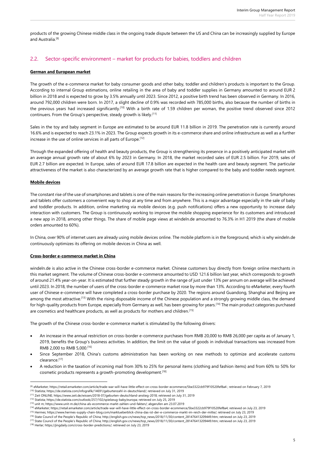products of the growing Chinese middle class in the ongoing trade dispute between the US and China can be increasingly supplied by Europe and Australia<sup>[9]</sup>

#### 2.2. Sector-specific environment – market for products for babies, toddlers and children

#### **German and European market**

The growth of the e-commerce market for baby consumer goods and other baby, toddler and children's products is important to the Group. According to internal Group estimations, online retailing in the area of baby and toddler supplies in Germany amounted to around EUR 2 billion in 2018 and is expected to grow by 3.5% annually until 2023. Since 2012, a positive birth trend has been observed in Germany. In 2016, around 792,000 children were born. In 2017, a slight decline of 0.9% was recorded with 785,000 births, also because the number of births in the previous years had increased significantly.<sup>[10]</sup> With a birth rate of 1.59 children per woman, the positive trend observed since 2012 continuers. From the Group's perspective, steady growth is likely.<sup>[11]</sup>

Sales in the toy and baby segment in Europe are estimated to be around EUR 11.8 billion in 2019. The penetration rate is currently around 16.6% and is expected to reach 23.1% in 2023. The Group expects growth in its e-commerce share and online infrastructure as well as a further increase in the use of online services in all parts of Europe.<sup>[12]</sup>

Through the expanded offering of health and beauty products, the Group is strengthening its presence in a positively anticipated market with an average annual growth rate of about 6% by 2023 in Germany. In 2018, the market recorded sales of EUR 2.5 billion. For 2019, sales of EUR 2.7 billion are expected. In Europe, sales of around EUR 17.8 billion are expected in the health care and beauty segment. The particular attractiveness of the market is also characterized by an average growth rate that is higher compared to the baby and toddler needs segment.

#### **Mobile devices**

1

The constant rise of the use of smartphones and tablets is one of the main reasons for the increasing online penetration in Europe. Smartphones and tablets offer customers a convenient way to shop at any time and from anywhere. This is a major advantage especially in the sale of baby and toddler products. In addition, online marketing via mobile devices (e.g. push notifications) offers a new opportunity to increase daily interaction with customers. The Group is continuously working to improve the mobile shopping experience for its customers and introduced a new app in 2018, among other things. The share of mobile page views at windeln.de amounted to 76.3% in H1 2019 (the share of mobile orders amounted to 60%).

In China, over 90% of internet users are already using mobile devices online. The mobile platform is in the foreground, which is why windeln.de continuously optimizes its offering on mobile devices in China as well.

#### **Cross-border e-commerce market in China**

windeln.de is also active in the Chinese cross-border e-commerce market. Chinese customers buy directly from foreign online merchants in this market segment. The volume of Chinese cross-border e-commerce amounted to USD 121.6 billion last year, which corresponds to growth of around 21.4% year-on-year. It is estimated that further steady growth in the range of just under 13% per annum on average will be achieved until 2023. In 2018, the number of users of the cross-border e-commerce market rose by more than 13%. According to eMarketer, every fourth user of Chinese e-commerce will have completed a cross-border purchase by 2020. The regions around Guandong, Shanghai and Beijing are among the most attractive.<sup>[13]</sup> With the rising disposable income of the Chinese population and a strongly growing middle class, the demand for high-quality products from Europe, especially from Germany as well, has been growing for years.[14] The main product categories purchased are cosmetics and healthcare products, as well as products for mothers and children.<sup>[15]</sup>

The growth of the Chinese cross-border e-commerce market is stimulated by the following drivers:

- An increase in the annual restriction on cross-border e-commerce purchases from RMB 20,000 to RMB 26,000 per capita as of January 1, 2019, benefits the Group's business activities. In addition, the limit on the value of goods in individual transactions was increased from RMB 2,000 to RMB 5,000.[16]
- Since September 2018, China's customs administration has been working on new methods to optimize and accelerate customs clearance.[17]
- A reduction in the taxation of incoming mail from 30% to 25% for personal items (clothing and fashion items) and from 60% to 50% for cosmetic products represents a growth-promoting development.[18]

<sup>[9]</sup> eMarketer; https://retail.emarketer.com/article/trade-war-will-have-little-effect-on-cross-border-ecommerce/5be3322cb979f10520fef8a4 ; retrieved on February 7, 2019 [10] Statista[; https://de.statista.com/infografik/14691/geburtenzahl-in-deutschland/;](https://de.statista.com/infografik/14691/geburtenzahl-in-deutschland/) retrieved on July 31, 2019

<sup>[11]</sup> Zeit ONLINE[; https://www.zeit.de/wissen/2018-07/geburten-deutschland-anstieg-2018;](https://www.zeit.de/wissen/2018-07/geburten-deutschland-anstieg-2018) retrieved on July 31, 2019

<sup>[12]</sup> Statista; https://de.statista.com/outlook/257/102/spielzeug-baby/europa; retrieved on July 25, 2019

<sup>[13]</sup> unit m[; https://www.unit-m.de/china-als-ecommerce-markt-zahlen-und-fakten/;](https://www.unit-m.de/china-als-ecommerce-markt-zahlen-und-fakten/) abgerufen am 23.07.2019

<sup>[14]</sup> eMarketer[; https://retail.emarketer.com/article/trade-war-will-have-little-effect-on-cross-border-ecommerce/5be3322cb979f10520fef8a4;](https://retail.emarketer.com/article/trade-war-will-have-little-effect-on-cross-border-ecommerce/5be3322cb979f10520fef8a4) retrieved on July 23, 2019

<sup>[15]</sup> Hermes; https://www.hermes-supply-chain-blog.com/marktueberblick-china-das-ist-der-e-commerce-markt-im-reich-der-mitte/; retrieved on July 23, 2019

<sup>[16]</sup> State Council of the People's Republic of China; [http://english.gov.cn/news/top\\_news/2018/11/30/content\\_281476413209449.htm;](http://english.gov.cn/news/top_news/2018/11/30/content_281476413209449.htm) retrieved on July 23, 2019

<sup>[17]</sup> State Council of the People's Republic of China; [http://english.gov.cn/news/top\\_news/2018/11/30/content\\_281476413209449.htm;](http://english.gov.cn/news/top_news/2018/11/30/content_281476413209449.htm) retrieved on July 23, 2019

<sup>[18]</sup> Herlar[; https://jingdaily.com/cross-border-predictions/;](https://jingdaily.com/cross-border-predictions/) retrieved on July 23, 2019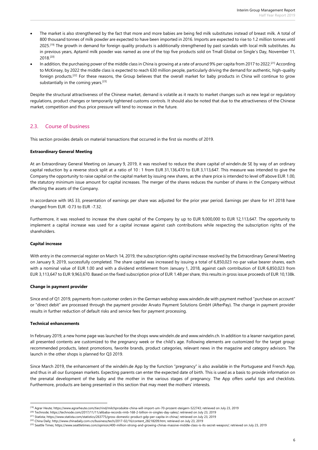- The market is also strengthened by the fact that more and more babies are being fed milk substitutes instead of breast milk. A total of 800 thousand tonnes of milk powder are expected to have been imported in 2016. Imports are expected to rise to 1.2 million tonnes until 2025.<sup>[19]</sup> The growth in demand for foreign quality products is additionally strengthened by past scandals with local milk substitutes. As in previous years, Aptamil milk powder was named as one of the top five products sold on Tmall Global on Single's Day, November 11, 2018.[20]
- In addition, the purchasing power of the middle class in China is growing at a rate of around 9% per capita from 2017 to 2022.<sup>[21]</sup> According to McKinsey, by 2022 the middle class is expected to reach 630 million people, particularly driving the demand for authentic, high-quality foreign products.[22] For these reasons, the Group believes that the overall market for baby products in China will continue to grow substantially in the coming years.<sup>[23]</sup>

Despite the structural attractiveness of the Chinese market, demand is volatile as it reacts to market changes such as new legal or regulatory regulations, product changes or temporarily tightened customs controls. It should also be noted that due to the attractiveness of the Chinese market, competition and thus price pressure will tend to increase in the future.

#### 2.3. Course of business

This section provides details on material transactions that occurred in the first six months of 2019.

#### **Extraordinary General Meeting**

At an Extraordinary General Meeting on January 9, 2019, it was resolved to reduce the share capital of windeln.de SE by way of an ordinary capital reduction by a reverse stock split at a ratio of 10 : 1 from EUR 31,136,470 to EUR 3,113,647. This measure was intended to give the Company the opportunity to raise capital on the capital market by issuing new shares, as the share price is intended to level off above EUR 1.00, the statutory minimum issue amount for capital increases. The merger of the shares reduces the number of shares in the Company without affecting the assets of the Company.

In accordance with IAS 33, presentation of earnings per share was adjusted for the prior year period. Earnings per share for H1 2018 have changed from EUR -0.73 to EUR -7.32.

Furthermore, it was resolved to increase the share capital of the Company by up to EUR 9,000,000 to EUR 12,113,647. The opportunity to implement a capital increase was used for a capital increase against cash contributions while respecting the subscription rights of the shareholders.

#### **Capital increase**

With entry in the commercial register on March 14, 2019, the subscription rights capital increase resolved by the Extraordinary General Meeting on January 9, 2019, successfully completed. The share capital was increased by issuing a total of 6,850,023 no-par value bearer shares, each with a nominal value of EUR 1.00 and with a dividend entitlement from January 1, 2018, against cash contribution of EUR 6,850,023 from EUR 3,113,647 to EUR 9,963,670. Based on the fixed subscription price of EUR 1.48 per share, this results in gross issue proceeds of EUR 10,138k.

#### **Change in payment provider**

Since end of Q1 2019, payments from customer orders in the German webshop www.windeln.de with payment method "purchase on account" or "direct debit" are processed through the payment provider Arvato Payment Solutions GmbH (AfterPay). The change in payment provider results in further reduction of default risks and service fees for payment processing.

#### **Technical enhancements**

**.** 

In February 2019, a new home page was launched for the shops www.windeln.de and www.windeln.ch. In addition to a leaner navigation panel, all presented contents are customized to the pregnancy week or the child's age. Following elements are customized for the target group: recommended products, latest promotions, favorite brands, product categories, relevant news in the magazine and category advisors. The launch in the other shops is planned for Q3 2019.

Since March 2019, the enhancement of the windeln.de App by the function "pregnancy" is also available in the Portuguese and French App, and thus in all our European markets. Expecting parents can enter the expected date of birth. This is used as a basis to provide information on the prenatal development of the baby and the mother in the various stages of pregnancy. The App offers useful tips and checklists. Furthermore, products are being presented in this section that may meet the mothers' interests.

<sup>[19]</sup> Agrar Heute[; https://www.agrarheute.com/tier/rind/milchprodukte-china-will-import-um-70-prozent-steigern-522743;](https://www.agrarheute.com/tier/rind/milchprodukte-china-will-import-um-70-prozent-steigern-522743) retrieved on July 23, 2019

<sup>[20]</sup> Technode[; https://technode.com/2017/11/11/alibaba-records-rmb-168-2-billion-in-singles-day-sales/;](https://technode.com/2017/11/11/alibaba-records-rmb-168-2-billion-in-singles-day-sales/) retrieved on July 23, 2019

<sup>[21]</sup> Statista[; https://www.statista.com/statistics/263775/gross-domestic-product-gdp-per-capita-in-china/;](https://www.statista.com/statistics/263775/gross-domestic-product-gdp-per-capita-in-china/) retrieved on July 23, 2019

<sup>[22]</sup> China Daily[; http://www.chinadaily.com.cn/business/tech/2017-02/16/content\\_28218209.htm;](http://www.chinadaily.com.cn/business/tech/2017-02/16/content_28218209.htm) retrieved on July 23, 2019

<sup>&</sup>lt;sup>[23]</sup> Seattle Times[; https://www.seattletimes.com/opinion/400-million-strong-and-growing-chinas-massive-middle-class-is-its-secret-weapon/;](https://www.seattletimes.com/opinion/400-million-strong-and-growing-chinas-massive-middle-class-is-its-secret-weapon/) retrieved on July 23, 2019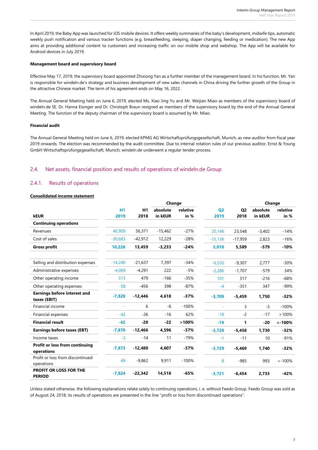In April 2019, the Baby App was launched for iOS mobile devices. It offers weekly summaries of the baby's development, midwife tips, automatic weekly push notification and various tracker functions (e.g. breastfeeding, sleeping, diaper changing, feeding or medication). The new App aims at providing additional content to customers and increasing traffic on our mobile shop and webshop. The App will be available for Android devices in July 2019.

#### **Management board and supervisory board**

Effective May 17, 2019, the supervisory board appointed Zhixiong Yan as a further member of the management board. In his function, Mr. Yan is responsible for windeln.de's strategy and business development of new sales channels in China driving the further growth of the Group in the attractive Chinese market. The term of his agreement ends on May 16, 2022.

The Annual General Meeting held on June 6, 2019, elected Ms. Xiao Jing Yu and Mr. Weijian Miao as members of the supervisory board of windeln.de SE. Dr. Hanna Eisinger and Dr. Christoph Braun resigned as members of the supervisory board by the end of the Annual General Meeting. The function of the deputy chairman of the supervisory board is assumed by Mr. Miao.

#### **Financial audit**

The Annual General Meeting held on June 6, 2019, elected KPMG AG Wirtschaftsprüfungsgesellschaft, Munich, as new auditor from fiscal year 2019 onwards. The election was recommended by the audit committee. Due to internal rotation rules of our previous auditor, Ernst & Young GmbH Wirtschaftsprüfungsgesellschaft, Munich, windeln.de underwent a regular tender process.

#### 2.4. Net assets, financial position and results of operations of windeln.de Group

#### 2.4.1. Results of operations

#### **Consolidated income statement**

|                                                     |           |           | Change    |          |                |                | Change   |           |
|-----------------------------------------------------|-----------|-----------|-----------|----------|----------------|----------------|----------|-----------|
|                                                     | <b>H1</b> | H1        | absolute  | relative | Q <sub>2</sub> | Q <sub>2</sub> | absolute | relative  |
| <b>kEUR</b>                                         | 2019      | 2018      | in kEUR   | in %     | 2019           | 2018           | in kEUR  | in %      |
| <b>Continuing operations</b>                        |           |           |           |          |                |                |          |           |
| Revenues                                            | 40,909    | 56,371    | $-15,462$ | $-27%$   | 20.146         | 23,548         | $-3.402$ | $-14%$    |
| Cost of sales                                       | $-30,683$ | $-42,912$ | 12,229    | $-28%$   | $-15,136$      | $-17,959$      | 2,823    | $-16%$    |
| <b>Gross profit</b>                                 | 10,226    | 13,459    | $-3,233$  | $-24%$   | 5,010          | 5,589          | $-579$   | $-10%$    |
| Selling and distribution expenses                   | $-14,240$ | $-21,637$ | 7,397     | $-34%$   | $-6,530$       | $-9,307$       | 2,777    | $-30%$    |
| Administrative expenses                             | $-4.069$  | $-4,291$  | 222       | $-5%$    | $-2,286$       | $-1,707$       | $-579$   | 34%       |
| Other operating income                              | 313       | 479       | $-166$    | $-35%$   | 101            | 317            | $-216$   | $-68%$    |
| Other operating expenses                            | $-58$     | $-456$    | 398       | $-87%$   | $-4$           | $-351$         | 347      | $-99%$    |
| <b>Earnings before interest and</b><br>taxes (EBIT) | $-7,828$  | $-12,446$ | 4,618     | $-37%$   | $-3,709$       | $-5,459$       | 1,750    | $-32%$    |
| Financial income                                    | ٠         | 6         | -6        | $-100%$  |                | 3              | $-3$     | $-100%$   |
| Financial expenses                                  | $-42$     | $-26$     | $-16$     | 62%      | $-19$          | $-2$           | $-17$    | >100%     |
| <b>Financial result</b>                             | $-42$     | $-20$     | $-22$     | >100%    | $-19$          | 1              | $-20$    | $< -100%$ |
| <b>Earnings before taxes (EBT)</b>                  | $-7,870$  | $-12,466$ | 4,596     | $-37%$   | $-3,728$       | $-5,458$       | 1,730    | $-32%$    |
| Income taxes                                        | $-3$      | $-14$     | 11        | $-79%$   | $-1$           | $-11$          | 10       | $-91%$    |
| <b>Profit or loss from continuing</b><br>operations | $-7,873$  | $-12,480$ | 4,607     | $-37%$   | $-3,729$       | $-5,469$       | 1,740    | $-32%$    |
| Profit or loss from discontinued<br>operations      | 49        | $-9,862$  | 9,911     | $-100%$  | 8              | $-985$         | 993      | $< -100%$ |
| <b>PROFIT OR LOSS FOR THE</b><br><b>PERIOD</b>      | $-7,824$  | $-22,342$ | 14,518    | $-65%$   | $-3,721$       | $-6,454$       | 2,733    | $-42%$    |

Unless stated otherwise, the following explanations relate solely to continuing operations, i. e. without Feedo Group. Feedo Group was sold as of August 24, 2018; its results of operations are presented in the line "profit or loss from discontinued operations".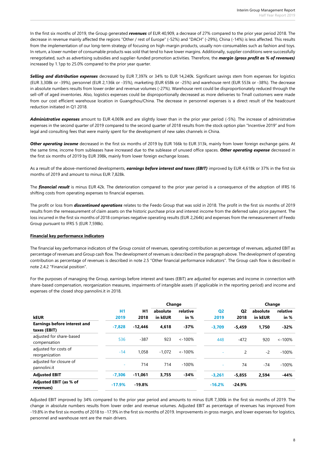In the first six months of 2019, the Group generated *revenues* of EUR 40,909, a decrease of 27% compared to the prior year period 2018. The decrease in revenue mainly affected the regions "Other / rest of Europe" (-52%) and "DACH" (-29%), China (-14%) is less affected. This results from the implementation of our long-term strategy of focusing on high-margin products, usually non-consumables such as fashion and toys. In return, a lower number of consumable products was sold that tend to have lower margins. Additionally, supplier conditions were successfully renegotiated, such as advertising subsidies and supplier-funded promotion activities. Therefore, the *margin (gross profit as % of revenues)* increased by 1.1pp to 25.0% compared to the prior year quarter.

*Selling and distribution expenses* decreased by EUR 7,397k or 34% to EUR 14,240k. Significant savings stem from expenses for logistics (EUR 3,308k or -39%), personnel (EUR 2,136k or -35%), marketing (EUR 658k or -25%) and warehouse rent (EUR 553k or -38%). The decrease in absolute numbers results from lower order and revenue volumes (-27%). Warehouse rent could be disproportionately reduced through the sell-off of aged inventories. Also, logistics expenses could be disproportionally decreased as more deliveries to Tmall customers were made from our cost efficient warehouse location in Guangzhou/China. The decrease in personnel expenses is a direct result of the headcount reduction initiated in Q1 2018.

*Administrative expenses* amount to EUR 4,069k and are slightly lower than in the prior year period (-5%). The increase of administrative expenses in the second quarter of 2019 compared to the second quarter of 2018 results from the stock option plan "Incentive 2019" and from legal and consulting fees that were mainly spent for the development of new sales channels in China.

*Other operating income* decreased in the first six months of 2019 by EUR 166k to EUR 313k, mainly from lower foreign exchange gains. At the same time, income from subleases have increased due to the sublease of unused office spaces. *Other operating expense* decreased in the first six months of 2019 by EUR 398k, mainly from lower foreign exchange losses.

As a result of the above-mentioned developments, *earnings before interest and taxes (EBIT)* improved by EUR 4,618k or 37% in the first six months of 2019 and amount to minus EUR 7,828k.

The **financial result** is minus EUR 42k. The deterioration compared to the prior year period is a consequence of the adoption of IFRS 16 shifting costs from operating expenses to financial expenses.

The profit or loss from *discontinued operations* relates to the Feedo Group that was sold in 2018. The profit in the first six months of 2019 results from the remeasurement of claim assets on the historic purchase price and interest income from the deferred sales price payment. The loss incurred in the first six months of 2018 comprises negative operating results (EUR 2,264k) and expenses from the remeasurement of Feedo Group pursuant to IFRS 5 (EUR 7,598k).

#### **Financial key performance indicators**

The financial key performance indicators of the Group consist of revenues, operating contribution as percentage of revenues, adjusted EBIT as percentage of revenues and Group cash flow. The development of revenues is described in the paragraph above. The development of operating contribution as percentage of revenues is described in note 2.5 "Other financial performance indicators". The Group cash flow is described in note 2.4.2 "Financial position".

For the purposes of managing the Group, earnings before interest and taxes (EBIT) are adjusted for expenses and income in connection with share-based compensation, reorganization measures, impairments of intangible assets (if applicable in the reporting period) and income and expenses of the closed shop pannolini.it in 2018.

|                                                     |            |                        | Change              |                    |                        |                        | Change              |                    |
|-----------------------------------------------------|------------|------------------------|---------------------|--------------------|------------------------|------------------------|---------------------|--------------------|
| <b>kEUR</b>                                         | H1<br>2019 | H <sub>1</sub><br>2018 | absolute<br>in kEUR | relative<br>in $%$ | Q <sub>2</sub><br>2019 | Q <sub>2</sub><br>2018 | absolute<br>in kEUR | relative<br>in $%$ |
| <b>Earnings before interest and</b><br>taxes (EBIT) | $-7.828$   | $-12.446$              | 4.618               | $-37%$             | $-3.709$               | $-5,459$               | 1,750               | $-32%$             |
| adjusted for share-based<br>compensation            | 536        | $-387$                 | 923                 | $\leq -100\%$      | 448                    | $-472$                 | 920                 | $< -100%$          |
| adjusted for costs of<br>reorganization             | $-14$      | 1.058                  | $-1.072$            | $\lt$ -100%        |                        | 2                      | $-2$                | $-100%$            |
| adjusted for closure of<br>pannolini.it             | ٠          | 714                    | 714                 | $-100%$            | ٠                      | 74                     | $-74$               | $-100%$            |
| <b>Adjusted EBIT</b>                                | $-7.306$   | $-11.061$              | 3,755               | $-34%$             | $-3,261$               | $-5,855$               | 2,594               | $-44%$             |
| Adjusted EBIT (as % of<br>revenues)                 | $-17.9%$   | $-19.8%$               |                     |                    | $-16.2%$               | $-24.9%$               |                     |                    |

Adjusted EBIT improved by 34% compared to the prior year period and amounts to minus EUR 7,306k in the first six months of 2019. The change in absolute numbers results from lower order and revenue volumes. Adjusted EBIT as percentage of revenues has improved from -19.8% in the first six months of 2018 to -17.9% in the first six months of 2019. Improvements in gross margin, and lower expenses for logistics, personnel and warehouse rent are the main drivers.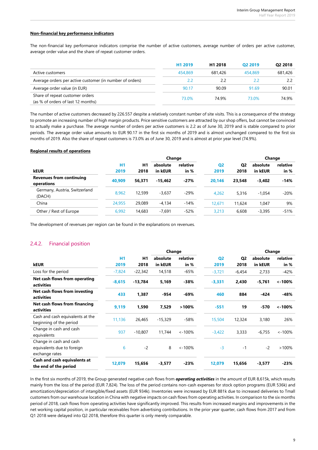#### **Non-financial key performance indicators**

The non-financial key performance indicators comprise the number of active customers, average number of orders per active customer, average order value and the share of repeat customer orders.

|                                                          | H <sub>1</sub> 2019 | H <sub>1</sub> 2018 | O <sub>2</sub> 2019 | Q2 2018 |
|----------------------------------------------------------|---------------------|---------------------|---------------------|---------|
| Active customers                                         | 454.869             | 681.426             | 454,869             | 681.426 |
| Average orders per active customer (in number of orders) | 22                  | 2.2                 | 2.2                 | 2.2     |
| Average order value (in EUR)                             | 90.17               | 90.09               | 91.69               | 90.01   |
| Share of repeat customer orders                          | 73.0%               | 74 9%               | 73.0%               | 74.9%   |
| (as % of orders of last 12 months)                       |                     |                     |                     |         |

The number of active customers decreased by 226.557 despite a relatively constant number of site visits. This is a consequence of the strategy to promote an increasing number of high margin products. Price sensitive customers are attracted by our shop offers, but cannot be convinced to actually make a purchase. The average number of orders per active customers is 2.2 as of June 30, 2019 and is stable compared to prior periods. The average order value amounts to EUR 90.17 in the first six months of 2019 and is almost unchanged compared to the first six months of 2019. Also the share of repeat customers is 73.0% as of June 30, 2019 and is almost at prior year level (74.9%).

#### **Regional results of operations**

|                                               |           |        | Change    |          |                |                | Change   |          |
|-----------------------------------------------|-----------|--------|-----------|----------|----------------|----------------|----------|----------|
|                                               | <b>H1</b> | H1     | absolute  | relative | Q <sub>2</sub> | Q <sub>2</sub> | absolute | relative |
| <b>kEUR</b>                                   | 2019      | 2018   | in kEUR   | in $%$   | 2019           | 2018           | in kEUR  | in $%$   |
| <b>Revenues from continuing</b><br>operations | 40.909    | 56.371 | $-15.462$ | $-27%$   | 20.146         | 23,548         | $-3.402$ | $-14%$   |
| Germany, Austria, Switzerland<br>(DACH)       | 8.962     | 12,599 | $-3.637$  | $-29%$   | 4.262          | 5,316          | $-1.054$ | $-20%$   |
| China                                         | 24,955    | 29,089 | $-4,134$  | $-14%$   | 12,671         | 11,624         | 1.047    | 9%       |
| Other / Rest of Europe                        | 6,992     | 14,683 | $-7,691$  | $-52%$   | 3.213          | 6.608          | $-3,395$ | $-51%$   |

The development of revenues per region can be found in the explanations on revenues.

#### 2.4.2. Financial position

|                                                                         |          |           | Change    |           |                |                | Change   |           |
|-------------------------------------------------------------------------|----------|-----------|-----------|-----------|----------------|----------------|----------|-----------|
|                                                                         | H1       | H1        | absolute  | relative  | Q <sub>2</sub> | Q <sub>2</sub> | absolute | relative  |
| <b>kEUR</b>                                                             | 2019     | 2018      | in kEUR   | in %      | 2019           | 2018           | in kEUR  | in %      |
| Loss for the period                                                     | $-7,824$ | $-22,342$ | 14,518    | $-65%$    | $-3,721$       | $-6,454$       | 2,733    | $-42%$    |
| Net cash flows from operating<br>activities                             | $-8,615$ | $-13,784$ | 5,169     | $-38%$    | $-3,331$       | 2,430          | $-5,761$ | $< -100%$ |
| Net cash flows from investing<br>activities                             | 433      | 1,387     | $-954$    | $-69%$    | 460            | 884            | $-424$   | $-48%$    |
| Net cash flows from financing<br>activities                             | 9,119    | 1,590     | 7,529     | >100%     | $-551$         | 19             | $-570$   | $< -100%$ |
| Cash and cash equivalents at the<br>beginning of the period             | 11,136   | 26,465    | $-15,329$ | $-58%$    | 15,504         | 12,324         | 3,180    | 26%       |
| Change in cash and cash<br>equivalents                                  | 937      | $-10,807$ | 11.744    | $< -100%$ | $-3,422$       | 3,333          | $-6,755$ | $< -100%$ |
| Change in cash and cash<br>equivalents due to foreign<br>exchange rates | 6        | $-2$      | 8         | $< -100%$ | $-3$           | $-1$           | $-2$     | >100%     |
| Cash and cash equivalents at<br>the end of the period                   | 12,079   | 15,656    | $-3,577$  | $-23%$    | 12,079         | 15,656         | $-3,577$ | $-23%$    |

In the first six months of 2019, the Group generated negative cash flows from *operating activities* in the amount of EUR 8,615k, which results mainly from the loss of the period (EUR 7,824). The loss of the period contains non-cash expenses for stock option programs (EUR 536k) and amortization/depreciation of intangible/fixed assets (EUR 934k). Inventories were increased by EUR 881k due to increased deliveries to Tmall customers from our warehouse location in China with negative impacts on cash flows from operating activities. In comparison to the six months period of 2018, cash flows from operating activities have significantly improved. This results from increased margins and improvements in the net working capital position, in particular receivables from advertising contributions. In the prior year quarter, cash flows from 2017 and from Q1 2018 were delayed into Q2 2018, therefore this quarter is only merely comparable.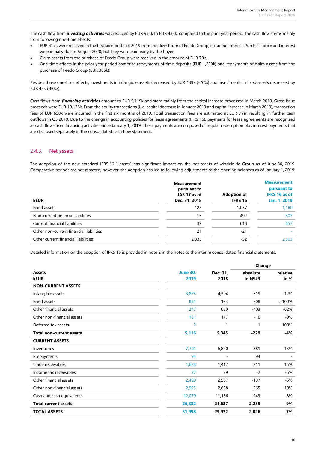The cash flow from *investing activities* was reduced by EUR 954k to EUR 433k, compared to the prior year period. The cash flow stems mainly from following one-time effects:

- EUR 417k were received in the first six months of 2019 from the divestiture of Feedo Group, including interest. Purchase price and interest were initially due in August 2020; but they were paid early by the buyer.
- Claim assets from the purchase of Feedo Group were received in the amount of EUR 70k.
- One-time effects in the prior year period comprise repayments of time deposits (EUR 1,250k) and repayments of claim assets from the purchase of Feedo Group (EUR 365k).

Besides those one-time effects, investments in intangible assets decreased by EUR 139k (-76%) and investments in fixed assets decreased by EUR 43k (-80%).

Cash flows from *financing activities* amount to EUR 9,119k and stem mainly from the capital increase processed in March 2019. Gross issue proceeds were EUR 10,138k. From the equity transactions (i. e. capital decrease in January 2019 and capital increase in March 2019), transaction fees of EUR 650k were incurred in the first six months of 2019. Total transaction fees are estimated at EUR 0.7m resulting in further cash outflows in Q3 2019. Due to the change in accounting policies for lease agreements (IFRS 16), payments for lease agreements are recognized as cash flows from financing activities since January 1, 2019. These payments are composed of regular redemption plus interest payments that are disclosed separately in the consolidated cash flow statement.

#### 2.4.3. Net assets

The adoption of the new standard IFRS 16 "Leases" has significant impact on the net assets of windeln.de Group as of June 30, 2019. Comparative periods are not restated; however, the adoption has led to following adjustments of the opening balances as of January 1, 2019:

| <b>kEUR</b>                             | <b>Measurement</b><br>pursuant to<br>IAS 17 as of<br>Dec. 31, 2018 | <b>Adoption of</b><br><b>IFRS 16</b> | <b>Measurement</b><br>pursuant to<br><b>IFRS 16 as of</b><br>Jan. 1, 2019 |
|-----------------------------------------|--------------------------------------------------------------------|--------------------------------------|---------------------------------------------------------------------------|
| Fixed assets                            | 123                                                                | 1,057                                | 1,180                                                                     |
| Non-current financial liabilities       | 15                                                                 | 492                                  | 507                                                                       |
| Current financial liabilities           | 39                                                                 | 618                                  | 657                                                                       |
| Other non-current financial liabilities | 21                                                                 | $-21$                                |                                                                           |
| Other current financial liabilities     | 2,335                                                              | -32                                  | 2,303                                                                     |

Detailed information on the adoption of IFRS 16 is provided in note 2 in the notes to the interim consolidated financial statements.

|                                 |                         |                  | Change              |                    |  |
|---------------------------------|-------------------------|------------------|---------------------|--------------------|--|
| <b>Assets</b><br><b>kEUR</b>    | <b>June 30,</b><br>2019 | Dec. 31,<br>2018 | absolute<br>in kEUR | relative<br>in $%$ |  |
| <b>NON-CURRENT ASSETS</b>       |                         |                  |                     |                    |  |
| Intangible assets               | 3,875                   | 4,394            | $-519$              | $-12%$             |  |
| Fixed assets                    | 831                     | 123              | 708                 | >100%              |  |
| Other financial assets          | 247                     | 650              | $-403$              | $-62%$             |  |
| Other non-financial assets      | 161                     | 177              | $-16$               | $-9%$              |  |
| Deferred tax assets             | $\overline{2}$          | 1                | 1                   | 100%               |  |
| <b>Total non-current assets</b> | 5,116                   | 5,345            | $-229$              | $-4%$              |  |
| <b>CURRENT ASSETS</b>           |                         |                  |                     |                    |  |
| Inventories                     | 7,701                   | 6,820            | 881                 | 13%                |  |
| Prepayments                     | 94                      |                  | 94                  |                    |  |
| Trade receivables               | 1,628                   | 1,417            | 211                 | 15%                |  |
| Income tax receivables          | 37                      | 39               | $-2$                | $-5%$              |  |
| Other financial assets          | 2,420                   | 2,557            | $-137$              | $-5%$              |  |
| Other non-financial assets      | 2,923                   | 2,658            | 265                 | 10%                |  |
| Cash and cash equivalents       | 12,079                  | 11,136           | 943                 | 8%                 |  |
| <b>Total current assets</b>     | 26,882                  | 24,627           | 2,255               | 9%                 |  |
| <b>TOTAL ASSETS</b>             | 31,998                  | 29,972           | 2,026               | 7%                 |  |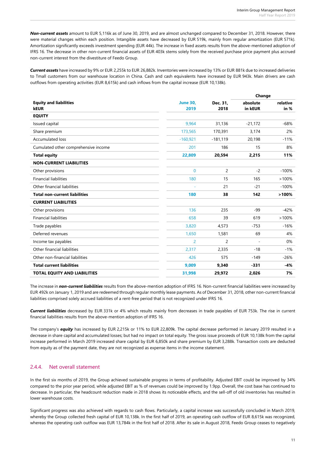*Non-current assets* amount to EUR 5,116k as of June 30, 2019, and are almost unchanged compared to December 31, 2018. However, there were material changes within each position. Intangible assets have decreased by EUR 519k, mainly from regular amortization (EUR 571k). Amortization significantly exceeds investment spending (EUR 44k). The increase in fixed assets results from the above-mentioned adoption of IFRS 16. The decrease in other non-current financial assets of EUR 403k stems solely from the received purchase price payment plus accrued non-current interest from the divestiture of Feedo Group.

*Current assets* have increased by 9% or EUR 2,255k to EUR 26,882k. Inventories were increased by 13% or EUR 881k due to increased deliveries to Tmall customers from our warehouse location in China. Cash and cash equivalents have increased by EUR 943k. Main drivers are cash outflows from operating activities (EUR 8,615k) and cash inflows from the capital increase (EUR 10,138k).

|                                      |                 |                | Change    |          |  |
|--------------------------------------|-----------------|----------------|-----------|----------|--|
| <b>Equity and liabilities</b>        | <b>June 30,</b> | Dec. 31,       | absolute  | relative |  |
| <b>kEUR</b>                          | 2019            | 2018           | in kEUR   | in $%$   |  |
| <b>EQUITY</b>                        |                 |                |           |          |  |
| Issued capital                       | 9,964           | 31,136         | $-21,172$ | $-68%$   |  |
| Share premium                        | 173,565         | 170,391        | 3,174     | 2%       |  |
| <b>Accumulated loss</b>              | $-160,921$      | $-181,119$     | 20,198    | $-11%$   |  |
| Cumulated other comprehensive income | 201             | 186            | 15        | 8%       |  |
| <b>Total equity</b>                  | 22,809          | 20,594         | 2,215     | 11%      |  |
| <b>NON-CURRENT LIABILITIES</b>       |                 |                |           |          |  |
| Other provisions                     | $\Omega$        | $\overline{c}$ | $-2$      | $-100%$  |  |
| <b>Financial liabilities</b>         | 180             | 15             | 165       | >100%    |  |
| Other financial liabilities          |                 | 21             | $-21$     | $-100%$  |  |
| <b>Total non-current liabilities</b> | 180             | 38             | 142       | >100%    |  |
| <b>CURRENT LIABILITIES</b>           |                 |                |           |          |  |
| Other provisions                     | 136             | 235            | $-99$     | $-42%$   |  |
| <b>Financial liabilities</b>         | 658             | 39             | 619       | >100%    |  |
| Trade payables                       | 3,820           | 4,573          | $-753$    | $-16%$   |  |
| Deferred revenues                    | 1,650           | 1,581          | 69        | 4%       |  |
| Income tax payables                  | $\overline{2}$  | $\overline{2}$ | $\sim$    | 0%       |  |
| Other financial liabilities          | 2,317           | 2,335          | $-18$     | $-1%$    |  |
| Other non-financial liabilities      | 426             | 575            | $-149$    | $-26%$   |  |
| <b>Total current liabilities</b>     | 9,009           | 9,340          | $-331$    | $-4%$    |  |
| <b>TOTAL EQUITY AND LIABILITIES</b>  | 31,998          | 29,972         | 2,026     | 7%       |  |

The increase in *non-current liabilities* results from the above-mention adoption of IFRS 16. Non-current financial liabilities were increased by EUR 492k on January 1, 2019 and are redeemed through regular monthly lease payments. As of December 31, 2018, other non-current financial liabilities comprised solely accrued liabilities of a rent-free period that is not recognized under IFRS 16.

*Current liabilities* decreased by EUR 331k or 4% which results mainly from decreases in trade payables of EUR 753k. The rise in current financial liabilities results from the above-mention adoption of IFRS 16.

The company's *equity* has increased by EUR 2,215k or 11% to EUR 22,809k. The capital decrease performed in January 2019 resulted in a decrease in share capital and accumulated losses; but had no impact on total equity. The gross issue proceeds of EUR 10,138k from the capital increase performed in March 2019 increased share capital by EUR 6,850k and share premium by EUR 3,288k. Transaction costs are deducted from equity as of the payment date, they are not recognized as expense items in the income statement.

#### 2.4.4. Net overall statement

In the first six months of 2019, the Group achieved sustainable progress in terms of profitability. Adjusted EBIT could be improved by 34% compared to the prior year period, while adjusted EBIT as % of revenues could be improved by 1.9pp. Overall, the cost base has continued to decrease. In particular, the headcount reduction made in 2018 shows its noticeable effects, and the sell-off of old inventories has resulted in lower warehouse costs.

Significant progress was also achieved with regards to cash flows. Particularly, a capital increase was successfully concluded in March 2019, whereby the Group collected fresh capital of EUR 10,138k. In the first half of 2019, an operating cash outflow of EUR 8,615k was recognized, whereas the operating cash outflow was EUR 13,784k in the first half of 2018. After its sale in August 2018, Feedo Group ceases to negatively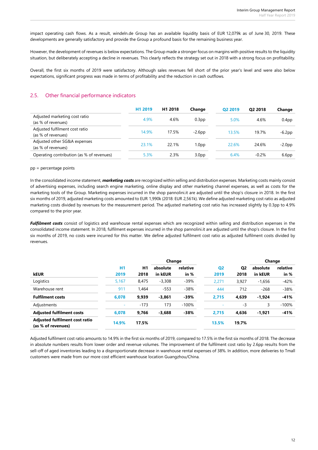impact operating cash flows. As a result, windeln.de Group has an available liquidity basis of EUR 12,079k as of June 30, 2019. These developments are generally satisfactory and provide the Group a profound basis for the remaining business year.

However, the development of revenues is below expectations. The Group made a stronger focus on margins with positive results to the liquidity situation, but deliberately accepting a decline in revenues. This clearly reflects the strategy set out in 2018 with a strong focus on profitability.

Overall, the first six months of 2019 were satisfactory. Although sales revenues fell short of the prior year's level and were also below expectations, significant progress was made in terms of profitability and the reduction in cash outflows.

#### 2.5. Other financial performance indicators

|                                                      | H1 2019 | H <sub>1</sub> 2018 | Change            | O <sub>2</sub> 2019 | O <sub>2</sub> 2018 | Change            |
|------------------------------------------------------|---------|---------------------|-------------------|---------------------|---------------------|-------------------|
| Adjusted marketing cost ratio<br>(as % of revenues)  | 4.9%    | 4.6%                | 0.3 <sub>pp</sub> | 5.0%                | 4.6%                | 0.4 <sub>pp</sub> |
| Adjusted fulfilment cost ratio<br>(as % of revenues) | 14.9%   | 17.5%               | $-2.6pp$          | 13.5%               | 19.7%               | $-6.2pp$          |
| Adjusted other SG&A expenses<br>(as % of revenues)   | 23.1%   | 22.1%               | dq0.i             | 22.6%               | 24.6%               | $-2.0pp$          |
| Operating contribution (as % of revenues)            | 5.3%    | 2.3%                | 3.0 <sub>pp</sub> | 6.4%                | $-0.2%$             | 6.6 <sub>pp</sub> |

#### pp = percentage points

In the consolidated income statement, *marketing costs* are recognized within selling and distribution expenses. Marketing costs mainly consist of advertising expenses, including search engine marketing, online display and other marketing channel expenses, as well as costs for the marketing tools of the Group. Marketing expenses incurred in the shop pannolini.it are adjusted until the shop's closure in 2018. In the first six months of 2019, adjusted marketing costs amounted to EUR 1,990k (2018: EUR 2,561k). We define adjusted marketing cost ratio as adjusted marketing costs divided by revenues for the measurement period. The adjusted marketing cost ratio has increased slightly by 0.3pp to 4.9% compared to the prior year.

*Fulfilment costs* consist of logistics and warehouse rental expenses which are recognized within selling and distribution expenses in the consolidated income statement. In 2018, fulfilment expenses incurred in the shop pannolini.it are adjusted until the shop's closure. In the first six months of 2019, no costs were incurred for this matter. We define adjusted fulfilment cost ratio as adjusted fulfilment costs divided by revenues.

|                                                      |       | Change |          |          |                |                | Change   |          |
|------------------------------------------------------|-------|--------|----------|----------|----------------|----------------|----------|----------|
|                                                      | H1    | H1     | absolute | relative | Q <sub>2</sub> | Q <sub>2</sub> | absolute | relative |
| <b>kEUR</b>                                          | 2019  | 2018   | in kEUR  | in %     | 2019           | 2018           | in kEUR  | in %     |
| Logistics                                            | 5,167 | 8.475  | $-3,308$ | $-39%$   | 2,271          | 3.927          | $-1,656$ | $-42%$   |
| Warehouse rent                                       | 911   | 1.464  | $-553$   | $-38%$   | 444            | 712            | $-268$   | $-38%$   |
| <b>Fulfilment costs</b>                              | 6,078 | 9,939  | $-3,861$ | -39%     | 2,715          | 4,639          | $-1,924$ | $-41%$   |
| Adjustments                                          | ۰     | $-173$ | 173      | $-100%$  | $\sim$         | -3             | 3        | $-100%$  |
| <b>Adjusted fulfilment costs</b>                     | 6,078 | 9,766  | $-3,688$ | $-38%$   | 2,715          | 4,636          | $-1,921$ | $-41%$   |
| Adjusted fulfilment cost ratio<br>(as % of revenues) | 14.9% | 17.5%  |          |          | 13.5%          | 19.7%          |          |          |

Adjusted fulfilment cost ratio amounts to 14.9% in the first six months of 2019, compared to 17.5% in the first six months of 2018. The decrease in absolute numbers results from lower order and revenue volumes. The improvement of the fulfilment cost ratio by 2.6pp results from the sell-off of aged inventories leading to a disproportionate decrease in warehouse rental expenses of 38%. In addition, more deliveries to Tmall customers were made from our more cost efficient warehouse location Guangzhou/China.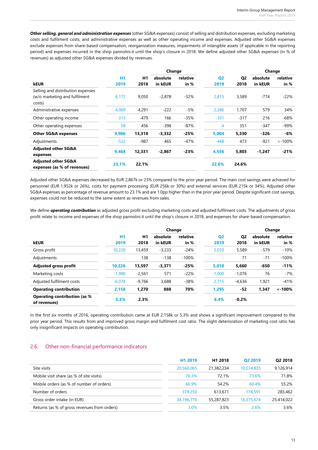*Other selling, general and administration expenses* (other SG&A expenses) consist of selling and distribution expenses, excluding marketing costs and fulfilment costs, and administrative expenses as well as other operating income and expenses. Adjusted other SG&A expenses exclude expenses from share-based compensation, reorganization measures, impairments of intangible assets (if applicable in the reporting period) and expenses incurred in the shop pannolini.it until the shop's closure in 2018. We define adjusted other SG&A expenses (in % of revenues) as adjusted other SG&A expenses divided by revenues.

|                                                               |           |        | Change   |          |                |                | Change   |           |
|---------------------------------------------------------------|-----------|--------|----------|----------|----------------|----------------|----------|-----------|
|                                                               | <b>H1</b> | H1     | absolute | relative | Q <sub>2</sub> | Q <sub>2</sub> | absolute | relative  |
| <b>kEUR</b>                                                   | 2019      | 2018   | in kEUR  | in $%$   | 2019           | 2018           | in kEUR  | in %      |
| Selling and distribution expenses                             |           |        |          |          |                |                |          |           |
| (w/o marketing and fulfilment                                 | 6,172     | 9,050  | $-2,878$ | $-32%$   | 2,815          | 3,589          | $-774$   | $-22%$    |
| costs)                                                        |           |        |          |          |                |                |          |           |
| Administrative expenses                                       | 4,069     | 4,291  | $-222$   | $-5%$    | 2,286          | 1.707          | 579      | 34%       |
| Other operating income                                        | $-313$    | $-479$ | 166      | $-35%$   | $-101$         | $-317$         | 216      | $-68%$    |
| Other operating expenses                                      | 58        | 456    | $-398$   | $-87%$   | 4              | 351            | $-347$   | $-99%$    |
| <b>Other SG&amp;A expenses</b>                                | 9,986     | 13,318 | $-3,332$ | $-25%$   | 5,004          | 5,330          | $-326$   | $-6%$     |
| Adjustments                                                   | $-522$    | $-987$ | 465      | -47%     | $-448$         | 473            | $-921$   | $< -100%$ |
| <b>Adjusted other SG&amp;A</b>                                | 9,464     | 12,331 | $-2.867$ | $-23%$   | 4,556          | 5,803          | $-1,247$ | $-21%$    |
| expenses                                                      |           |        |          |          |                |                |          |           |
| <b>Adjusted other SG&amp;A</b><br>expenses (as % of revenues) | 23.1%     | 22.1%  |          |          | 22.6%          | 24.6%          |          |           |

Adjusted other SG&A expenses decreased by EUR 2,867k or 23% compared to the prior year period. The main cost savings were achieved for personnel (EUR 1,952k or 26%), costs for payment processing (EUR 256k or 30%) and external services (EUR 215k or 34%). Adjusted other SG&A expenses as percentage of revenue amount to 23.1% and are 1.0pp higher than in the prior year period. Despite significant cost savings, expenses could not be reduced to the same extent as revenues from sales.

We define *operating contribution* as adjusted gross profit excluding marketing costs and adjusted fulfilment costs. The adjustments of gross profit relate to income and expenses of the shop pannolini.it until the shop's closure in 2018, and expenses for share-based compensation.

|                                                     |           |          | Change   |          |                |                | Change   |           |
|-----------------------------------------------------|-----------|----------|----------|----------|----------------|----------------|----------|-----------|
|                                                     | <b>H1</b> | H1       | absolute | relative | Q <sub>2</sub> | Q <sub>2</sub> | absolute | relative  |
| <b>kEUR</b>                                         | 2019      | 2018     | in kEUR  | in %     | 2019           | 2018           | in kEUR  | in %      |
| Gross profit                                        | 10,226    | 13,459   | $-3,233$ | $-24%$   | 5,010          | 5,589          | $-579$   | $-10%$    |
| Adjustments                                         | ٠         | 138      | $-138$   | $-100%$  | ٠              | 71             | $-71$    | $-100%$   |
| <b>Adjusted gross profit</b>                        | 10.226    | 13,597   | $-3,371$ | $-25%$   | 5,010          | 5,660          | -650     | $-11%$    |
| Marketing costs                                     | $-1,990$  | $-2,561$ | 571      | $-22%$   | $-1.000$       | $-1,076$       | 76       | $-7%$     |
| Adjusted fulfilment costs                           | $-6,078$  | $-9.766$ | 3,688    | $-38%$   | $-2,715$       | $-4,636$       | 1.921    | $-41%$    |
| <b>Operating contribution</b>                       | 2,158     | 1.270    | 888      | 70%      | 1,295          | -52            | 1,347    | $< -100%$ |
| <b>Operating contribution (as %</b><br>of revenues) | 5.3%      | 2.3%     |          |          | 6.4%           | $-0.2%$        |          |           |

In the first six months of 2016, operating contribution came at EUR 2,158k or 5.3% and shows a significant improvement compared to the prior year period. This results from and improved gross margin and fulfilment cost ratio. The slight deterioration of marketing cost ratio has only insignificant impacts on operating contribution.

#### 2.6. Other non-financial performance indicators

|                                              | H <sub>1</sub> 2019 | H <sub>1</sub> 2018 | O <sub>2</sub> 2019 | Q2 2018    |
|----------------------------------------------|---------------------|---------------------|---------------------|------------|
| Site visits                                  | 20,560,065          | 21,382,234          | 10.074.835          | 9.126.914  |
| Mobile visit share (as % of site visits)     | 76.3%               | 72.1%               | 73.6%               | 71.8%      |
| Mobile orders (as % of number of orders)     | 60.9%               | 54.2%               | 60.4%               | 55.2%      |
| Number of orders                             | 379,250             | 613,671             | 178.591             | 283,462    |
| Gross order intake (in EUR)                  | 34,196,776          | 55,287,823          | 16,375,674          | 25,414,022 |
| Returns (as % of gross revenues from orders) | 3.0%                | 3.5%                | 2.6%                | 3.6%       |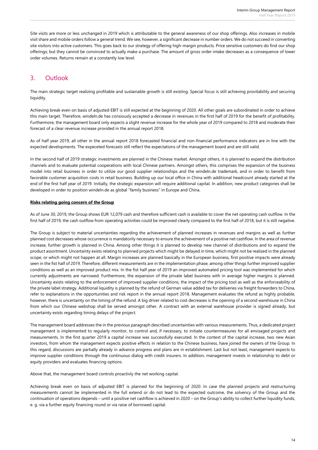Site visits are more or less unchanged in 2019 which is attributable to the general awareness of our shop offerings. Also increases in mobile visit share and mobile orders follow a general trend. We see, however, a significant decrease in number orders. We do not succeed in converting site visitors into active customers. This goes back to our strategy of offering high-margin products. Price sensitive customers do find our shop offerings; but they cannot be convinced to actually make a purchase. The amount of gross order intake decreases as a consequence of lower order volumes. Returns remain at a constantly low level.

### 3. Outlook

The main strategic target realizing profitable and sustainable growth is still existing. Special focus is still achieving provitability and securing liquidity.

Achieving break even on basis of adjusted EBIT is still expected at the beginning of 2020. All other goals are subordinated in order to achieve this main target. Therefore, windeln.de has consiously accepted a decrease in revenues in the first half of 2019 for the benefit of profitability. Furthermore, the management board only expects a slight revenue increase for the whole year of 2019 compared to 2018 and moderate their forecast of a clear revenue increase provided in the annual report 2018.

As of half year 2019, all other in the annual report 2018 forecasted financial and non-financial performance indicators are in line with the expected developments. The expeceted forecasts still reflect the expectations of the management board and are still valid.

In the second half of 2019 strategic investments are planned in the Chinese market. Amongst others, it is planned to expand the distribution channels and to evaluate potential cooperations with local Chinese partners. Amongst others, this comprises the expansion of the business model into retail business in order to utilize our good supplier relationships and the windeln.de trademark, and in order to benefit from favorable customer acquisition costs in retail business. Building up our local office in China with additional headcount already started at the end of the first half year of 2019. Initially, the strategic expansion will require additional capital. In addition, new product categories shall be developed in order to position windeln.de as global "family business" in Europe and China.

#### **Risks relating going concern of the Group**

As of June 30, 2019, the Group shows EUR 12,079 cash and therefore sufficient cash is available to cover the net operating cash outflow. In the first half of 2019, the cash outflow from operating activities could be improved clearly compared to the first half of 2018, but it is still negative.

The Group is subject to material uncertainties regarding the achievement of planned increases in revenues and margins as well as further planned cost decreases whose occurrence is mandatorily necessary to ensure the achievement of a positive net cashflow. In the area of revenue increase, further growth is planned in China. Among other things it is planned to develop new channel of distributions and to expand the product assortment. Uncertainty exists relating to planned projects which might be delayed in time, which might not be realized in the planned scope, or which might not happen at all. Margin increases are planned basically in the European business, first positive impacts were already seen in the fist half of 2019. Therefore, different measurements are in the implementation phase, among other things further improved supplier conditions as well as an improved product mix. In the fist half year of 2019 an improved automated pricing tool was implemented for which currently adjustments are narrowed. Furthermore, the expansion of the private label business with in average higher margins is planned. Uncertainty exists relating to the enforcement of improved supplier conditions, the impact of the pricing tool as well as the enforceability of the private label strategy. Additional liquidity is planned by the refund of German value added tax for deliveries via freight forwarders to China, refer to explanations in the opportunities and risk report in the annual report 2018. Management evaluates the refund as highly probable, however, there is uncertainty on the timing of the refund. A big driver related to cost decreases is the opening of a second warehouse in China from which our Chinese webshop shall be served amongst other. A contract with an external warehouse provider is signed already, but uncertainty exists regarding timing delays of the project.

The management board addresses the in the previous paragraph described uncertainties with various measurements. Thus, a dedicated project management is implemented to regularly monitor, to control and, if necessary, to initiate countermeasures for all envisaged projects and measurements. In the first quarter 2019 a capital increase was successfully executed. In the context of the capital increase, two new Asian investors, from whom the management expects positive effects in relation to the Chinese business, have joined the owners of the Group. In this regard, discussions are partially already in advance progress and plans are in establishment. Last but not least, management expects to improve supplier conditions through the continuous dialog with credit insurers. In addition, management invests in relationship to debt or equity providers and evaluates financing options.

Above that, the management board controls proactivly the net working capital.

Achieving break even on basis of adjusted EBIT is planned for the beginning of 2020. In case the planned projects and restructuring measurements cannot be implemented in the full extend or do not lead to the expected outcome, the solvency of the Group and the continuation of operations depends – until a positive net cashflow is achieved in 2020 – on the Group's ability to collect further liquidity funds, e. g. via a further equity financing round or via raise of borrowed capital.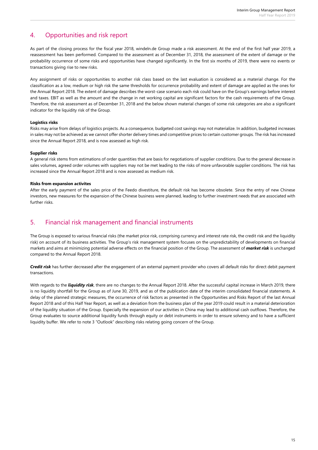# 4. Opportunities and risk report

As part of the closing process for the fiscal year 2018, windeln.de Group made a risk assessment. At the end of the first half year 2019, a reassessment has been performed. Compared to the assessment as of December 31, 2018, the assessment of the extent of damage or the probability occurrence of some risks and opportunities have changed significantly. In the first six months of 2019, there were no events or transactions giving rise to new risks.

Any assignment of risks or opportunities to another risk class based on the last evaluation is considered as a material change. For the classification as a low, medium or high risk the same thresholds for occurrence probability and extent of damage are applied as the ones for the Annual Report 2018. The extent of damage describes the worst-case scenario each risk could have on the Group's earnings before interest and taxes. EBIT as well as the amount and the change in net working capital are significant factors for the cash requirements of the Group. Therefore, the risk assessment as of December 31, 2018 and the below shown material changes of some risk categories are also a significant indicator for the liquidity risk of the Group.

#### **Logistics risks**

Risks may arise from delays of logistics projects. As a consequence, budgeted cost savings may not materialize. In addition, budgeted increases in sales may not be achieved as we cannot offer shorter delivery times and competitive prices to certain customer groups. The risk has increased since the Annual Report 2018, and is now assessed as high risk.

#### **Supplier risks**

A general risk stems from estimations of order quantities that are basis for negotiations of supplier conditions. Due to the general decrease in sales volumes, agreed order volumes with suppliers may not be met leading to the risks of more unfavorable supplier conditions. The risk has increased since the Annual Report 2018 and is now assessed as medium risk.

#### **Risks from expansion activites**

After the early payment of the sales price of the Feedo divestiture, the default risk has become obsolete. Since the entry of new Chinese investors, new measures for the expansion of the Chinese business were planned, leading to further investment needs that are associated with further risks.

### 5. Financial risk management and financial instruments

The Group is exposed to various financial risks (the market price risk, comprising currency and interest rate risk, the credit risk and the liquidity risk) on account of its business activities. The Group's risk management system focuses on the unpredictability of developments on financial markets and aims at minimizing potential adverse effects on the financial position of the Group. The assessment of *market risk* is unchanged compared to the Annual Report 2018.

*Credit risk* has further decreased after the engagement of an external payment provider who covers all default risks for direct debit payment transactions.

With regards to the *liquidity risk*, there are no changes to the Annual Report 2018. After the successful capital increase in March 2019, there is no liquidity shortfall for the Group as of June 30, 2019, and as of the publication date of the interim consolidated financial statements. A delay of the planned strategic measures, the occurrence of risk factors as presented in the Opportunities and Risks Report of the last Annual Report 2018 and of this Half Year Report, as well as a deviation from the business plan of the year 2019 could result in a material deterioration of the liquidity situation of the Group. Especially the expansion of our activities in China may lead to additional cash outflows. Therefore, the Group evaluates to source additional liquidity funds through equity or debt instruments in order to ensure solvency and to have a sufficient liquidity buffer. We refer to note 3 "Outlook" describing risks relating going concern of the Group.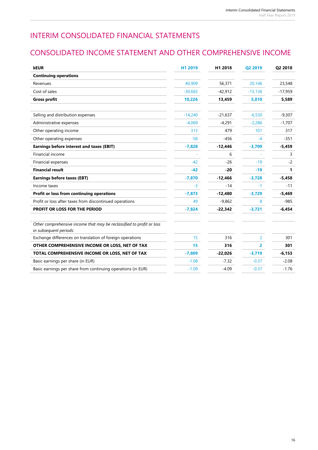# INTERIM CONSOLIDATED FINANCIAL STATEMENTS

# CONSOLIDATED INCOME STATEMENT AND OTHER COMPREHENSIVE INCOME

| <b>kEUR</b>                                                                                     | H1 2019   | H1 2018   | Q2 2019        | Q2 2018   |
|-------------------------------------------------------------------------------------------------|-----------|-----------|----------------|-----------|
| <b>Continuing operations</b>                                                                    |           |           |                |           |
| Revenues                                                                                        | 40,909    | 56,371    | 20.146         | 23,548    |
| Cost of sales                                                                                   | $-30,683$ | $-42,912$ | $-15,136$      | $-17,959$ |
| <b>Gross profit</b>                                                                             | 10,226    | 13,459    | 5,010          | 5,589     |
| Selling and distribution expenses                                                               | $-14,240$ | $-21.637$ | $-6.530$       | $-9,307$  |
| Administrative expenses                                                                         | $-4.069$  | $-4,291$  | $-2,286$       | $-1,707$  |
| Other operating income                                                                          | 313       | 479       | 101            | 317       |
| Other operating expenses                                                                        | $-58$     | $-456$    | -4             | $-351$    |
| <b>Earnings before interest and taxes (EBIT)</b>                                                | $-7,828$  | $-12,446$ | $-3,709$       | $-5,459$  |
| Financial income                                                                                |           | 6         |                | 3         |
| Financial expenses                                                                              | $-42$     | $-26$     | $-19$          | $-2$      |
| <b>Financial result</b>                                                                         | $-42$     | $-20$     | $-19$          | 1         |
| <b>Earnings before taxes (EBT)</b>                                                              | $-7,870$  | $-12,466$ | $-3,728$       | $-5,458$  |
| Income taxes                                                                                    | $-3$      | $-14$     | $-1$           | $-11$     |
| Profit or loss from continuing operations                                                       | $-7,873$  | $-12,480$ | $-3,729$       | $-5,469$  |
| Profit or loss after taxes from discontinued operations                                         | 49        | $-9,862$  | 8              | $-985$    |
| PROFIT OR LOSS FOR THE PERIOD                                                                   | $-7,824$  | $-22,342$ | $-3,721$       | $-6,454$  |
| Other comprehensive income that may be reclassified to profit or loss<br>in subsequent periods: |           |           |                |           |
| Exchange differences on translation of foreign operations                                       | 15        | 316       | $\overline{2}$ | 301       |
| OTHER COMPREHENSIVE INCOME OR LOSS, NET OF TAX                                                  | 15        | 316       | $\overline{2}$ | 301       |
| TOTAL COMPREHENSIVE INCOME OR LOSS, NET OF TAX                                                  | $-7,809$  | $-22,026$ | $-3,719$       | $-6,153$  |
| Basic earnings per share (in EUR)                                                               | $-1.08$   | $-7.32$   | $-0.37$        | $-2.08$   |
| Basic earnings per share from continuing operations (in EUR)                                    | $-1.09$   | $-4.09$   | $-0.37$        | $-1.76$   |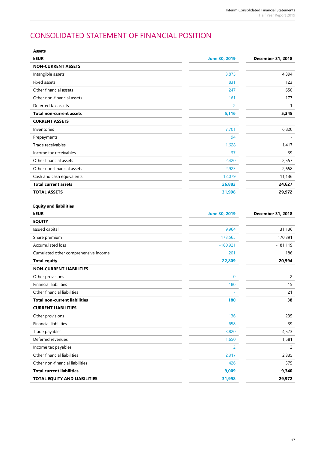# CONSOLIDATED STATEMENT OF FINANCIAL POSITION

| Assets                               |                      |                   |
|--------------------------------------|----------------------|-------------------|
| <b>kEUR</b>                          | <b>June 30, 2019</b> | December 31, 2018 |
| <b>NON-CURRENT ASSETS</b>            |                      |                   |
| Intangible assets                    | 3,875                | 4,394             |
| Fixed assets                         | 831                  | 123               |
| Other financial assets               | 247                  | 650               |
| Other non-financial assets           | 161                  | 177               |
| Deferred tax assets                  | $\overline{2}$       | $\mathbf{1}$      |
| <b>Total non-current assets</b>      | 5,116                | 5,345             |
| <b>CURRENT ASSETS</b>                |                      |                   |
| Inventories                          | 7,701                | 6,820             |
| Prepayments                          | 94                   |                   |
| Trade receivables                    | 1,628                | 1,417             |
| Income tax receivables               | 37                   | 39                |
| Other financial assets               | 2,420                | 2,557             |
| Other non-financial assets           | 2,923                | 2,658             |
| Cash and cash equivalents            | 12,079               | 11,136            |
| <b>Total current assets</b>          | 26,882               | 24,627            |
| <b>TOTAL ASSETS</b>                  | 31,998               | 29,972            |
|                                      |                      |                   |
| <b>Equity and liabilities</b>        |                      |                   |
| <b>kEUR</b>                          | <b>June 30, 2019</b> | December 31, 2018 |
| <b>EQUITY</b>                        |                      |                   |
| Issued capital                       | 9,964                | 31,136            |
| Share premium                        | 173,565              | 170,391           |
| Accumulated loss                     | $-160,921$           | $-181,119$        |
| Cumulated other comprehensive income | 201                  | 186               |
| <b>Total equity</b>                  | 22,809               | 20,594            |
| <b>NON-CURRENT LIABILITIES</b>       |                      |                   |
| Other provisions                     | 0                    | $\overline{c}$    |
| <b>Financial liabilities</b>         | 180                  | 15                |
| Other financial liabilities          |                      | 21                |
| <b>Total non-current liabilities</b> | 180                  | 38                |
| <b>CURRENT LIABILITIES</b>           |                      |                   |
| Other provisions                     | 136                  | 235               |
| <b>Financial liabilities</b>         | 658                  | 39                |
| Trade payables                       | 3,820                | 4,573             |
| Deferred revenues                    | 1,650                | 1,581             |
| Income tax payables                  | $\overline{2}$       | 2                 |
| Other financial liabilities          | 2,317                | 2,335             |
| Other non-financial liabilities      | 426                  | 575               |
| <b>Total current liabilities</b>     | 9,009                | 9,340             |
| TOTAL EQUITY AND LIABILITIES         | 31,998               | 29,972            |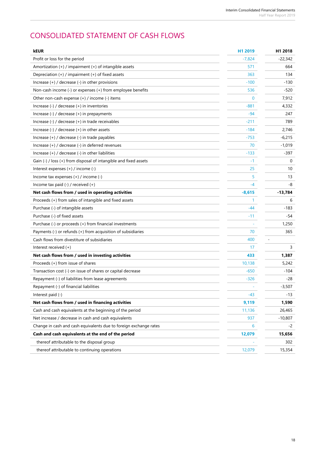# CONSOLIDATED STATEMENT OF CASH FLOWS

| kEUR                                                              | H1 2019  | H1 2018   |
|-------------------------------------------------------------------|----------|-----------|
| Profit or loss for the period                                     | $-7,824$ | $-22,342$ |
| Amortization $(+)$ / impairment $(+)$ of intangible assets        | 571      | 664       |
| Depreciation (+) / impairment (+) of fixed assets                 | 363      | 134       |
| Increase $(+)$ / decrease $(-)$ in other provisions               | -100     | $-130$    |
| Non-cash income (-) or expenses (+) from employee benefits        | 536      | $-520$    |
| Other non-cash expense (+) / income (-) items                     | 0        | 7,912     |
| Increase (-) / decrease (+) in inventories                        | $-881$   | 4,332     |
| Increase $(-)$ / decrease $(+)$ in prepayments                    | -94      | 247       |
| Increase (-) / decrease (+) in trade receivables                  | -211     | 789       |
| Increase $(-)$ / decrease $(+)$ in other assets                   | $-184$   | 2,746     |
| Increase (+) / decrease (-) in trade payables                     | -753     | $-6,215$  |
| Increase (+) / decrease (-) in deferred revenues                  | 70       | $-1,019$  |
| Increase (+) / decrease (-) in other liabilities                  | -133     | $-397$    |
| Gain (-) / loss (+) from disposal of intangible and fixed assets  | -1       | 0         |
| Interest expenses (+) / income (-)                                | 25       | 10        |
| Income tax expenses $(+)$ / income $(-)$                          | 5        | 13        |
| Income tax paid $(-)$ / received $(+)$                            | $-4$     | -8        |
| Net cash flows from / used in operating activities                | $-8,615$ | $-13,784$ |
| Proceeds (+) from sales of intangible and fixed assets            | 1        | 6         |
| Purchase (-) of intangible assets                                 | -44      | $-183$    |
| Purchase (-) of fixed assets                                      | $-11$    | -54       |
| Purchase (-) or proceeds (+) from financial investments           |          | 1,250     |
| Payments (-) or refunds (+) from acquisition of subsidiaries      | 70       | 365       |
| Cash flows from divestiture of subsidiaries                       | 400      |           |
| Interest received (+)                                             | 17       | 3         |
| Net cash flows from / used in investing activities                | 433      | 1,387     |
| Proceeds (+) from issue of shares                                 | 10,138   | 5,242     |
| Transaction cost (-) on issue of shares or capital decrease       | -650     | $-104$    |
| Repayment (-) of liabilities from lease agreements                | $-326$   | $-28$     |
| Repayment (-) of financial liabilities                            |          | $-3,507$  |
| Interest paid (-)                                                 | -43      | $-13$     |
| Net cash flows from / used in financing activities                | 9,119    | 1,590     |
| Cash and cash equivalents at the beginning of the period          | 11,136   | 26,465    |
| Net increase / decrease in cash and cash equivalents              | 937      | $-10,807$ |
| Change in cash and cash equivalents due to foreign exchange rates | 6        | -2        |
| Cash and cash equivalents at the end of the period                | 12,079   | 15,656    |
| thereof attributable to the disposal group                        |          | 302       |
| thereof attributable to continuing operations                     | 12,079   | 15,354    |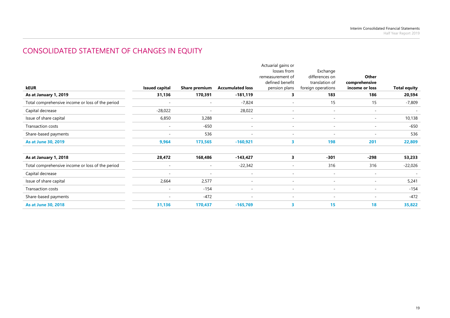# CONSOLIDATED STATEMENT OF CHANGES IN EQUITY

|                                                  |                       |                          |                          | Actuarial gains or       |                          |                          |                     |
|--------------------------------------------------|-----------------------|--------------------------|--------------------------|--------------------------|--------------------------|--------------------------|---------------------|
|                                                  |                       |                          |                          | losses from              | Exchange                 |                          |                     |
|                                                  |                       |                          |                          | remeasurement of         | differences on           | Other                    |                     |
|                                                  |                       |                          |                          | defined benefit          | translation of           | comprehensive            |                     |
| <b>kEUR</b>                                      | <b>Issued capital</b> | <b>Share premium</b>     | <b>Accumulated loss</b>  | pension plans            | foreign operations       | income or loss           | <b>Total equity</b> |
| As at January 1, 2019                            | 31,136                | 170,391                  | $-181,119$               | 3                        | 183                      | 186                      | 20,594              |
| Total comprehensive income or loss of the period |                       | $\overline{\phantom{a}}$ | $-7,824$                 | $\overline{\phantom{a}}$ | 15                       | 15                       | -7,809              |
| Capital decrease                                 | $-28,022$             | $\overline{\phantom{a}}$ | 28,022                   |                          | $\sim$                   | $\overline{\phantom{a}}$ |                     |
| Issue of share capital                           | 6,850                 | 3,288                    | $\sim$                   | $\overline{\phantom{a}}$ | $\sim$                   | $\overline{\phantom{a}}$ | 10,138              |
| Transaction costs                                |                       | $-650$                   | $\overline{\phantom{a}}$ |                          | $\overline{\phantom{a}}$ | $\sim$                   | -650                |
| Share-based payments                             | ٠                     | 536                      | $\overline{\phantom{a}}$ | $\overline{\phantom{a}}$ | $\sim$                   | $\sim$                   | 536                 |
| As at June 30, 2019                              | 9,964                 | 173,565                  | $-160,921$               | 3                        | 198                      | 201                      | 22,809              |
| As at January 1, 2018                            | 28,472                | 168,486                  | $-143,427$               | 3                        | $-301$                   | $-298$                   | 53,233              |
| Total comprehensive income or loss of the period |                       | $\overline{\phantom{a}}$ | $-22,342$                | $\sim$                   | 316                      | 316                      | $-22,026$           |
| Capital decrease                                 |                       | $\overline{\phantom{a}}$ | $\sim$                   | $\overline{\phantom{a}}$ | $\sim$                   | $\overline{\phantom{a}}$ |                     |
| Issue of share capital                           | 2,664                 | 2,577                    | $\sim$                   | $\overline{\phantom{a}}$ | $\sim$                   | $\sim$                   | 5,241               |
| Transaction costs                                |                       | $-154$                   | $\sim$                   | $\overline{\phantom{a}}$ | $\sim$                   | $\sim$                   | $-154$              |
| Share-based payments                             |                       | $-472$                   | $\sim$                   | $\overline{\phantom{a}}$ | $\sim$                   | $\overline{\phantom{a}}$ | $-472$              |
| <b>As at June 30, 2018</b>                       | 31,136                | 170,437                  | $-165,769$               | 3                        | 15                       | 18                       | 35,822              |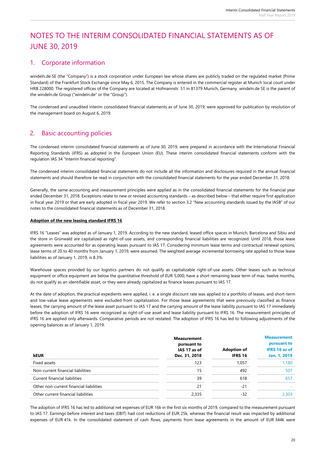# NOTES TO THE INTERIM CONSOLIDATED FINANCIAL STATEMENTS AS OF JUNE 30, 2019

# 1. Corporate information

windeln.de SE (the "Company") is a stock corporation under European law whose shares are publicly traded on the regulated market (Prime Standard) of the Frankfurt Stock Exchange since May 6, 2015. The Company is entered in the commercial register at Munich local court under HRB 228000. The registered offices of the Company are located at Hofmannstr. 51 in 81379 Munich, Germany. windeln.de SE is the parent of the windeln.de Group ("windeln.de" or the "Group").

The condensed and unaudited interim consolidated financial statements as of June 30, 2019, were approved for publication by resolution of the management board on August 6, 2019.

### 2. Basic accounting policies

The condensed interim consolidated financial statements as of June 30, 2019, were prepared in accordance with the International Financial Reporting Standards (IFRS) as adopted in the European Union (EU). These interim consolidated financial statements conform with the regulation IAS 34 "Interim financial reporting".

The condensed interim consolidated financial statements do not include all the information and disclosures required in the annual financial statements and should therefore be read in conjunction with the consolidated financial statements for the year ended December 31, 2018.

Generally, the same accounting and measurement principles were applied as in the consolidated financial statements for the financial year ended December 31, 2018. Exceptions relate to new or revised accounting standards – as described below – that either require first application in fiscal year 2019 or that are early adopted in fiscal year 2019. We refer to section 3.2 "New accounting standards issued by the IASB" of our notes to the consolidated financial statements as of December 31, 2018.

#### **Adoption of the new leasing standard IFRS 16**

IFRS 16 "Leases" was adopted as of January 1, 2019. According to the new standard, leased office spaces in Munich, Barcelona and Sibiu and the store in Grünwald are capitalized as right-of-use assets, and corresponding financial liabilities are recognized. Until 2018, those lease agreements were accounted for as operating leases pursuant to IAS 17. Considering minimum lease terms and contractual renewal options, lease terms of 20 to 40 months from January 1, 2019, were assumed. The weighted average incremental borrowing rate applied to those lease liabilities as of January 1, 2019, is 8.3%.

Warehouse spaces provided by our logistics partners do not qualify as capitalizable right-of-use assets. Other leases such as technical equipment or office equipment are below the quantitative threshold of EUR 5,000, have a short remaining lease term of max. twelve months, do not qualify as an identifiable asset, or they were already capitalized as finance leases pursuant to IAS 17.

At the date of adoption, the practical expedients were applied, i. e. a single discount rate was applied to a portfolio of leases, and short-term and low-value lease agreements were excluded from capitalization. For those lease agreements that were previously classified as finance leases, the carrying amount of the lease asset pursuant to IAS 17 and the carrying amount of the lease liability pursuant to IAS 17 immediately before the adoption of IFRS 16 were recognized as right-of-use asset and lease liability pursuant to IFRS 16. The measurement principles of IFRS 16 are applied only afterwards. Comparative periods are not restated. The adoption of IFRS 16 has led to following adjustments of the opening balances as of January 1, 2019:

|                                         | <b>Measurement</b><br>pursuant to<br>IAS 17 as of | <b>Adoption of</b> | <b>Measurement</b><br>pursuant to<br><b>IFRS 16 as of</b> |
|-----------------------------------------|---------------------------------------------------|--------------------|-----------------------------------------------------------|
| <b>kEUR</b>                             | Dec. 31, 2018                                     | IFRS 16            | Jan. 1, 2019                                              |
| Fixed assets                            | 123                                               | 1.057              | 1,180                                                     |
| Non-current financial liabilities       | 15                                                | 492                | 507                                                       |
| Current financial liabilities           | 39                                                | 618                | 657                                                       |
| Other non-current financial liabilities | 21                                                | $-21$              |                                                           |
| Other current financial liabilities     | 2,335                                             | $-32$              | 2.303                                                     |

The adoption of IFRS 16 has led to additional net expenses of EUR 16k in the first six months of 2019, compared to the measurement pursuant to IAS 17. Earnings before interest and taxes (EBIT) had cost reductions of EUR 25k, whereas the financial result was impacted by additional expenses of EUR 41k. In the consolidated statement of cash flows, payments from lease agreements in the amount of EUR 344k were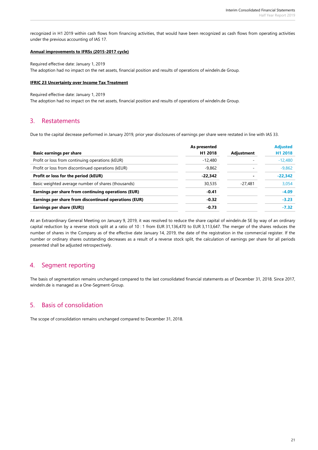recognized in H1 2019 within cash flows from financing activities, that would have been recognized as cash flows from operating activities under the previous accounting of IAS 17.

#### **Annual improvements to IFRSs (2015-2017 cycle)**

Required effective date: January 1, 2019 The adoption had no impact on the net assets, financial position and results of operations of windeln.de Group.

#### **IFRIC 23 Uncertainty over Income Tax Treatment**

Required effective date: January 1, 2019

The adoption had no impact on the net assets, financial position and results of operations of windeln.de Group.

### 3. Restatements

Due to the capital decrease performed in January 2019, prior year disclosures of earnings per share were restated in line with IAS 33.

|                                                       | As presented |            | <b>Adjusted</b> |
|-------------------------------------------------------|--------------|------------|-----------------|
| <b>Basic earnings per share</b>                       | H1 2018      | Adjustment | H1 2018         |
| Profit or loss from continuing operations (kEUR)      | $-12.480$    |            | $-12,480$       |
| Profit or loss from discontinued operations (kEUR)    | $-9,862$     | -          | $-9,862$        |
| Profit or loss for the period (kEUR)                  | $-22,342$    |            | $-22,342$       |
| Basic weighted average number of shares (thousands)   | 30,535       | -27,481    | 3,054           |
| Earnings per share from continuing operations (EUR)   | $-0.41$      |            | $-4.09$         |
| Earnings per share from discontinued operations (EUR) | $-0.32$      |            | $-3.23$         |
| Earnings per share (EUR))                             | $-0.73$      |            | $-7.32$         |
|                                                       |              |            |                 |

At an Extraordinary General Meeting on January 9, 2019, it was resolved to reduce the share capital of windeln.de SE by way of an ordinary capital reduction by a reverse stock split at a ratio of 10 : 1 from EUR 31,136,470 to EUR 3,113,647. The merger of the shares reduces the number of shares in the Company as of the effective date January 14, 2019, the date of the registration in the commercial register. If the number or ordinary shares outstanding decreases as a result of a reverse stock split, the calculation of earnings per share for all periods presented shall be adjusted retrospectively.

### 4. Segment reporting

The basis of segmentation remains unchanged compared to the last consolidated financial statements as of December 31, 2018. Since 2017, windeln.de is managed as a One-Segment-Group.

### 5. Basis of consolidation

The scope of consolidation remains unchanged compared to December 31, 2018.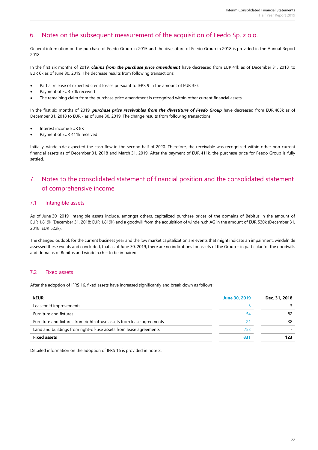### 6. Notes on the subsequent measurement of the acquisition of Feedo Sp. z o.o.

General information on the purchase of Feedo Group in 2015 and the divestiture of Feedo Group in 2018 is provided in the Annual Report 2018.

In the first six months of 2019, *claims from the purchase price amendment* have decreased from EUR 41k as of December 31, 2018, to EUR 6k as of June 30, 2019. The decrease results from following transactions:

- Partial release of expected credit losses pursuant to IFRS 9 in the amount of EUR 35k
- Payment of EUR 70k received
- The remaining claim from the purchase price amendment is recognized within other current financial assets.

In the first six months of 2019, *purchase price receivables from the divestiture of Feedo Group* have decreased from EUR 403k as of December 31, 2018 to EUR - as of June 30, 2019. The change results from following transactions:

- Interest income EUR 8K
- Payment of EUR 411k received

Initially, windeln.de expected the cash flow in the second half of 2020. Therefore, the receivable was recognized within other non-current financial assets as of December 31, 2018 and March 31, 2019. After the payment of EUR 411k, the purchase price for Feedo Group is fully settled.

# 7. Notes to the consolidated statement of financial position and the consolidated statement of comprehensive income

#### 7.1 Intangible assets

As of June 30, 2019, intangible assets include, amongst others, capitalized purchase prices of the domains of Bebitus in the amount of EUR 1,819k (December 31, 2018: EUR 1,819k) and a goodwill from the acquisition of windeln.ch AG in the amount of EUR 530k (December 31, 2018: EUR 522k).

The changed outlook for the current business year and the low market capitalization are events that might indicate an impairment. windeln.de assessed these events and concluded, that as of June 30, 2019, there are no indications for assets of the Group – in particular for the goodwills and domains of Bebitus and windeln.ch – to be impaired.

#### 7.2 Fixed assets

After the adoption of IFRS 16, fixed assets have increased significantly and break down as follows:

| kEUR                                                                  | <b>June 30, 2019</b> | Dec. 31, 2018 |
|-----------------------------------------------------------------------|----------------------|---------------|
| Leasehold improvements                                                |                      |               |
| Furniture and fixtures                                                | 54                   | 82            |
| Furniture and fixtures from right-of-use assets from lease agreements | 21                   | 38            |
| Land and buildings from right-of-use assets from lease agreements     | 753                  |               |
| <b>Fixed assets</b>                                                   | 831                  |               |

Detailed information on the adoption of IFRS 16 is provided in note 2.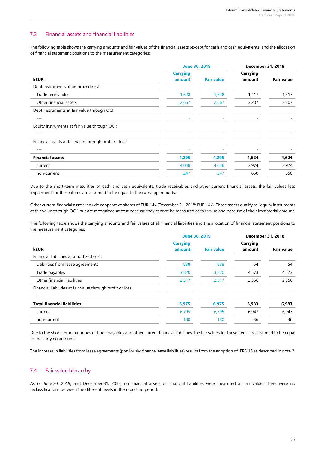#### 7.3 Financial assets and financial liabilities

The following table shows the carrying amounts and fair values of the financial assets (except for cash and cash equivalents) and the allocation of financial statement positions to the measurement categories:

|                                                        | <b>June 30, 2019</b>      |                   | <b>December 31, 2018</b> |                   |
|--------------------------------------------------------|---------------------------|-------------------|--------------------------|-------------------|
| <b>kEUR</b>                                            | <b>Carrying</b><br>amount | <b>Fair value</b> | Carrying<br>amount       | <b>Fair value</b> |
| Debt instruments at amortized cost:                    |                           |                   |                          |                   |
| Trade receivables                                      | 1,628                     | 1,628             | 1,417                    | 1,417             |
| Other financial assets                                 | 2,667                     | 2,667             | 3,207                    | 3,207             |
| Debt instruments at fair value through OCI:            |                           |                   |                          |                   |
| $- - -$                                                |                           |                   |                          |                   |
| Equity instruments at fair value through OCI:          |                           |                   |                          |                   |
| $-- -$                                                 |                           |                   |                          |                   |
| Financial assets at fair value through profit or loss: |                           |                   |                          |                   |
| $- - -$                                                | ٠                         | ۰                 | ۰                        |                   |
| <b>Financial assets</b>                                | 4,295                     | 4,295             | 4,624                    | 4,624             |
| current                                                | 4,048                     | 4,048             | 3,974                    | 3,974             |
| non-current                                            | 247                       | 247               | 650                      | 650               |

Due to the short-term maturities of cash and cash equivalents, trade receivables and other current financial assets, the fair values less impairment for these items are assumed to be equal to the carrying amounts.

Other current financial assets include cooperative shares of EUR 14k (December 31, 2018: EUR 14k). Those assets qualify as "equity instruments at fair value through OCI" but are recognized at cost because they cannot be measured at fair value and because of their immaterial amount.

The following table shows the carrying amounts and fair values of all financial liabilities and the allocation of financial statement positions to the measurement categories:

|                                                             | <b>June 30, 2019</b> |                   | <b>December 31, 2018</b> |                   |
|-------------------------------------------------------------|----------------------|-------------------|--------------------------|-------------------|
|                                                             | <b>Carrying</b>      |                   | Carrying                 |                   |
| <b>kEUR</b>                                                 | amount               | <b>Fair value</b> | amount                   | <b>Fair value</b> |
| Financial liabilities at amortized cost:                    |                      |                   |                          |                   |
| Liabilities from lease agreements                           | 838                  | 838               | 54                       | 54                |
| Trade payables                                              | 3,820                | 3,820             | 4,573                    | 4,573             |
| Other financial liabilities                                 | 2,317                | 2,317             | 2,356                    | 2,356             |
| Financial liabilities at fair value through profit or loss: |                      |                   |                          |                   |
| $-- -$                                                      |                      |                   |                          |                   |
| <b>Total financial liabilities</b>                          | 6,975                | 6,975             | 6,983                    | 6,983             |
| current                                                     | 6,795                | 6,795             | 6,947                    | 6,947             |
| non-current                                                 | 180                  | 180               | 36                       | 36                |
|                                                             |                      |                   |                          |                   |

Due to the short-term maturities of trade payables and other current financial liabilities, the fair values for these items are assumed to be equal to the carrying amounts.

The increase in liabilities from lease agreements (previously: finance lease liabilities) results from the adoption of IFRS 16 as described in note 2.

#### 7.4 Fair value hierarchy

As of June 30, 2019, and December 31, 2018, no financial assets or financial liabilities were measured at fair value. There were no reclassifications between the different levels in the reporting period.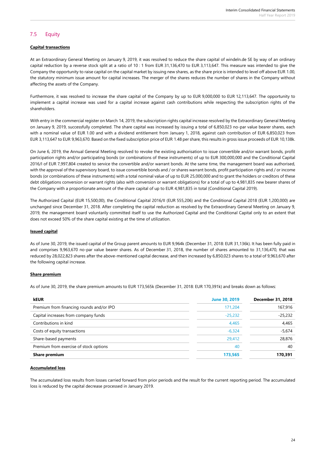### 7.5 Equity

#### **Capital transactions**

At an Extraordinary General Meeting on January 9, 2019, it was resolved to reduce the share capital of windeln.de SE by way of an ordinary capital reduction by a reverse stock split at a ratio of 10 : 1 from EUR 31,136,470 to EUR 3,113,647. This measure was intended to give the Company the opportunity to raise capital on the capital market by issuing new shares, as the share price is intended to level off above EUR 1.00, the statutory minimum issue amount for capital increases. The merger of the shares reduces the number of shares in the Company without affecting the assets of the Company.

Furthermore, it was resolved to increase the share capital of the Company by up to EUR 9,000,000 to EUR 12,113,647. The opportunity to implement a capital increase was used for a capital increase against cash contributions while respecting the subscription rights of the shareholders.

With entry in the commercial register on March 14, 2019, the subscription rights capital increase resolved by the Extraordinary General Meeting on January 9, 2019, successfully completed. The share capital was increased by issuing a total of 6,850,023 no-par value bearer shares, each with a nominal value of EUR 1.00 and with a dividend entitlement from January 1, 2018, against cash contribution of EUR 6,850,023 from EUR 3,113,647 to EUR 9,963,670. Based on the fixed subscription price of EUR 1.48 per share, this results in gross issue proceeds of EUR 10,138k.

On June 6, 2019, the Annual General Meeting resolved to revoke the existing authorisation to issue convertible and/or warrant bonds, profit participation rights and/or participating bonds (or combinations of these instruments) of up to EUR 300,000,000 and the Conditional Capital 2016/I of EUR 7,997,804 created to service the convertible and/or warrant bonds. At the same time, the management board was authorised, with the approval of the supervisory board, to issue convertible bonds and / or shares warrant bonds, profit participation rights and / or income bonds (or combinations of these instruments) with a total nominal value of up to EUR 25,000,000 and to grant the holders or creditors of these debt obligations conversion or warrant rights (also with conversion or warrant obligations) for a total of up to 4,981,835 new bearer shares of the Company with a proportionate amount of the share capital of up to EUR 4,981,835 in total (Conditional Capital 2019).

The Authorized Capital (EUR 15,500,00), the Conditional Capital 2016/II (EUR 555,206) and the Conditional Capital 2018 (EUR 1,200,000) are unchanged since December 31, 2018. After completing the capital reduction as resolved by the Extraordinary General Meeting on January 9, 2019, the management board voluntarily committed itself to use the Authorized Capital and the Conditional Capital only to an extent that does not exceed 50% of the share capital existing at the time of utilization.

#### **Issued capital**

As of June 30, 2019, the issued capital of the Group parent amounts to EUR 9,964k (December 31, 2018: EUR 31,136k). It has been fully paid in and comprises 9,963,670 no-par value bearer shares. As of December 31, 2018, the number of shares amounted to 31,136,470, that was reduced by 28,022,823 shares after the above-mentioned capital decrease, and then increased by 6,850,023 shares to a total of 9,963,670 after the following capital increase.

#### **Share premium**

As of June 30, 2019, the share premium amounts to EUR 173,565k (December 31, 2018: EUR 170,391k) and breaks down as follows:

| <b>kEUR</b>                              | <b>June 30, 2019</b> | <b>December 31, 2018</b> |
|------------------------------------------|----------------------|--------------------------|
| Premium from financing rounds and/or IPO | 171,204              | 167,916                  |
| Capital increases from company funds     | $-25,232$            | $-25,232$                |
| Contributions in kind                    | 4,465                | 4,465                    |
| Costs of equity transactions             | $-6,324$             | $-5,674$                 |
| Share-based payments                     | 29,412               | 28,876                   |
| Premium from exercise of stock options   | 40                   | 40                       |
| <b>Share premium</b>                     | 173,565              | 170,391                  |

#### **Accumulated loss**

The accumulated loss results from losses carried forward from prior periods and the result for the current reporting period. The accumulated loss is reduced by the capital decrease processed in January 2019.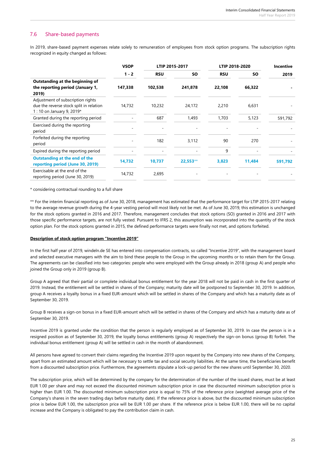#### 7.6 Share-based payments

In 2019, share-based payment expenses relate solely to remuneration of employees from stock option programs. The subscription rights recognized in equity changed as follows:

|                                                                                                            | <b>VSOP</b> | LTIP 2015-2017 |            | LTIP 2018-2020 |           | Incentive |
|------------------------------------------------------------------------------------------------------------|-------------|----------------|------------|----------------|-----------|-----------|
|                                                                                                            | $1 - 2$     | <b>RSU</b>     | <b>SO</b>  | <b>RSU</b>     | <b>SO</b> | 2019      |
| Outstanding at the beginning of<br>the reporting period (January 1,<br>2019)                               | 147,338     | 102,538        | 241,878    | 22,108         | 66,322    |           |
| Adjustment of subscription rights<br>due the reverse stock split in relation<br>1 : 10 on January 9, 2019* | 14,732      | 10,232         | 24,172     | 2,210          | 6,631     |           |
| Granted during the reporting period                                                                        |             | 687            | 1,493      | 1,703          | 5,123     | 591,792   |
| Exercised during the reporting<br>period                                                                   |             |                |            |                |           |           |
| Forfeited during the reporting<br>period                                                                   |             | 182            | 3,112      | 90             | 270       |           |
| Expired during the reporting period                                                                        | ٠           | ٠              |            | 9              |           |           |
| <b>Outstanding at the end of the</b><br>reporting period (June 30, 2019)                                   | 14,732      | 10,737         | $22,553**$ | 3,823          | 11,484    | 591,792   |
| Exercisable at the end of the<br>reporting period (June 30, 2019)                                          | 14,732      | 2,695          |            |                |           |           |

\* considering contractual rounding to a full share

\*\* For the interim financial reporting as of June 30, 2018, management has estimated that the performance target for LTIP 2015-2017 relating to the average revenue growth during the 4-year vesting period will most likely not be met. As of June 30, 2019, this estimation is unchanged for the stock options granted in 2016 and 2017. Therefore, management concludes that stock options (SO) granted in 2016 and 2017 with those specific performance targets, are not fully vested. Pursuant to IFRS 2, this assumption was incorporated into the quantity of the stock option plan. For the stock options granted in 2015, the defined performance targets were finally not met, and options forfeited.

#### **Description of stock option program "Incentive 2019"**

In the first half year of 2019, windeln.de SE has entered into compensation contracts, so called "Incentive 2019", with the management board and selected executive managers with the aim to bind these people to the Group in the upcoming months or to retain them for the Group. The agreements can be classified into two categories: people who were employed with the Group already in 2018 (group A) and people who joined the Group only in 2019 (group B).

Group A agreed that their partial or complete individual bonus entitlement for the year 2018 will not be paid in cash in the first quarter of 2019. Instead, the entitlement will be settled in shares of the Company; maturity date will be postponed to September 30, 2019. In addition, group A receives a loyalty bonus in a fixed EUR-amount which will be settled in shares of the Company and which has a maturity date as of September 30, 2019.

Group B receives a sign-on bonus in a fixed EUR-amount which will be settled in shares of the Company and which has a maturity date as of September 30, 2019.

Incentive 2019 is granted under the condition that the person is regularly employed as of September 30, 2019. In case the person is in a resigned position as of September 30, 2019, the loyalty bonus entitlements (group A) respectively the sign-on bonus (group B) forfeit. The individual bonus entitlement (group A) will be settled in cash in the month of abandonment.

All persons have agreed to convert their claims regarding the Incentive 2019 upon request by the Company into new shares of the Company, apart from an estimated amount which will be necessary to settle tax and social security liabilities. At the same time, the beneficiaries benefit from a discounted subscription price. Furthermore, the agreements stipulate a lock-up period for the new shares until September 30, 2020.

The subscription price, which will be determined by the company for the determination of the number of the issued shares, must be at least EUR 1.00 per share and may not exceed the discounted minimum subscription price in case the discounted minimum subscription price is higher than EUR 1.00. The discounted minimum subscription price is equal to 75% of the reference price (weighted average price of the Company's shares in the seven trading days before maturity date). If the reference price is above, but the discounted minimum subscription price is below EUR 1.00, the subscription price will be EUR 1.00 per share. If the reference price is below EUR 1.00, there will be no capital increase and the Company is obligated to pay the contribution claim in cash.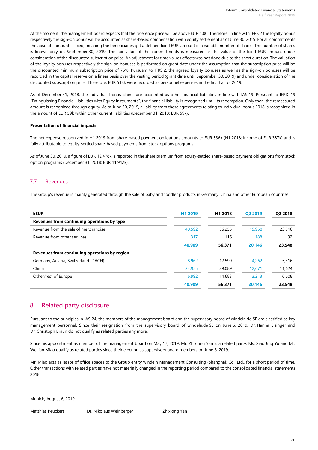At the moment, the management board expects that the reference price will be above EUR 1.00. Therefore, in line with IFRS 2 the loyalty bonus respectively the sign-on bonus will be accounted as share-based compensation with equity settlement as of June 30, 2019. For all commitments the absolute amount is fixed, meaning the beneficiaries get a defined fixed EUR-amount in a variable number of shares. The number of shares is known only on September 30, 2019. The fair value of the committments is measured as the value of the fixed EUR-amount under consideration of the discounted subscription price. An adjustment for time values effects was not done due to the short duration. The valuation of the loyalty bonuses respectively the sign-on bonuses is performed on grant date under the assumption that the subscription price will be the discounted minimum subscription price of 75%. Pursuant to IFRS 2, the agreed loyalty bonuses as well as the sign-on bonuses will be recorded in the capital reserve on a linear basis over the vesting period (grant date until September 30, 2019) and under consideration of the discounted subscription price. Therefore, EUR 518k were recorded as personnel expenses in the first half of 2019.

As of December 31, 2018, the individual bonus claims are accounted as other financial liabilities in line with IAS 19. Pursuant to IFRIC 19 "Extinguishing Financial Liabilities with Equity Instruments", the financial liability is recognized until its redemption. Only then, the remeasured amount is recognized through equity. As of June 30, 2019, a liability from these agreements relating to individual bonus 2018 is recognized in the amount of EUR 59k within other current liabilities (December 31, 2018: EUR 59k).

#### **Presentation of financial impacts**

The net expense recognized in H1 2019 from share-based payment obligations amounts to EUR 536k (H1 2018: income of EUR 387k) and is fully attributable to equity-settled share-based payments from stock options programs.

As of June 30, 2019, a figure of EUR 12,478k is reported in the share premium from equity-settled share-based payment obligations from stock option programs (December 31, 2018: EUR 11,942k).

#### 7.7 Revenues

The Group's revenue is mainly generated through the sale of baby and toddler products in Germany, China and other European countries.

| <b>kEUR</b>                                   | H <sub>1</sub> 2019 | H <sub>1</sub> 2018 | Q2 2019 | Q2 2018 |
|-----------------------------------------------|---------------------|---------------------|---------|---------|
| Revenues from continuing operations by type   |                     |                     |         |         |
| Revenue from the sale of merchandise          | 40,592              | 56,255              | 19,958  | 23,516  |
| Revenue from other services                   | 317                 | 116                 | 188     | 32      |
|                                               | 40.909              | 56,371              | 20.146  | 23,548  |
| Revenues from continuing operations by region |                     |                     |         |         |
| Germany, Austria, Switzerland (DACH)          | 8,962               | 12,599              | 4,262   | 5,316   |
| China                                         | 24,955              | 29,089              | 12.671  | 11,624  |
| Other/rest of Europe                          | 6,992               | 14,683              | 3,213   | 6,608   |
|                                               | 40.909              | 56,371              | 20.146  | 23,548  |

### 8. Related party disclosure

Pursuant to the principles in IAS 24, the members of the management board and the supervisory board of windeln.de SE are classified as key management personnel. Since their resignation from the supervisory board of windeln.de SE on June 6, 2019, Dr. Hanna Eisinger and Dr. Christoph Braun do not qualify as related parties any more.

Since his appointment as member of the management board on May 17, 2019, Mr. Zhixiong Yan is a related party. Ms. Xiao Jing Yu and Mr. Weijian Miao qualify as related parties since their election as supervisory board members on June 6, 2019.

Mr. Miao acts as lessor of office spaces to the Group entity windeln Management Consulting (Shanghai) Co., Ltd., for a short period of time. Other transactions with related parties have not materially changed in the reporting period compared to the consolidated financial statements 2018.

Munich, August 6, 2019

Matthias Peuckert Dr. Nikolaus Weinberger Zhixiong Yan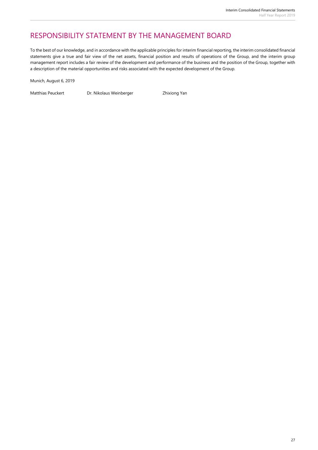# RESPONSIBILITY STATEMENT BY THE MANAGEMENT BOARD

To the best of our knowledge, and in accordance with the applicable principles for interim financial reporting, the interim consolidated financial statements give a true and fair view of the net assets, financial position and results of operations of the Group, and the interim group management report includes a fair review of the development and performance of the business and the position of the Group, together with a description of the material opportunities and risks associated with the expected development of the Group.

Munich, August 6, 2019

Matthias Peuckert Dr. Nikolaus Weinberger Zhixiong Yan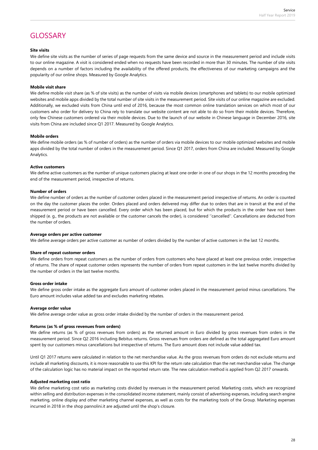# GLOSSARY

#### **Site visits**

We define site visits as the number of series of page requests from the same device and source in the measurement period and include visits to our online magazine. A visit is considered ended when no requests have been recorded in more than 30 minutes. The number of site visits depends on a number of factors including the availability of the offered products, the effectiveness of our marketing campaigns and the popularity of our online shops. Measured by Google Analytics.

#### **Mobile visit share**

We define mobile visit share (as % of site visits) as the number of visits via mobile devices (smartphones and tablets) to our mobile optimized websites and mobile apps divided by the total number of site visits in the measurement period. Site visits of our online magazine are excluded. Additionally, we excluded visits from China until end of 2016, because the most common online translation services on which most of our customers who order for delivery to China rely to translate our website content are not able to do so from their mobile devices. Therefore, only few Chinese customers ordered via their mobile devices. Due to the launch of our website in Chinese language in December 2016, site visits from China are included since Q1 2017. Measured by Google Analytics.

#### **Mobile orders**

We define mobile orders (as % of number of orders) as the number of orders via mobile devices to our mobile optimized websites and mobile apps divided by the total number of orders in the measurement period. Since Q1 2017, orders from China are included. Measured by Google Analytics.

#### **Active customers**

We define active customers as the number of unique customers placing at least one order in one of our shops in the 12 months preceding the end of the measurement period, irrespective of returns.

#### **Number of orders**

We define number of orders as the number of customer orders placed in the measurement period irrespective of returns. An order is counted on the day the customer places the order. Orders placed and orders delivered may differ due to orders that are in transit at the end of the measurement period or have been cancelled. Every order which has been placed, but for which the products in the order have not been shipped (e. g., the products are not available or the customer cancels the order), is considered ''cancelled''. Cancellations are deducted from the number of orders.

#### **Average orders per active customer**

We define average orders per active customer as number of orders divided by the number of active customers in the last 12 months.

#### **Share of repeat customer orders**

We define orders from repeat customers as the number of orders from customers who have placed at least one previous order, irrespective of returns. The share of repeat customer orders represents the number of orders from repeat customers in the last twelve months divided by the number of orders in the last twelve months.

#### **Gross order intake**

We define gross order intake as the aggregate Euro amount of customer orders placed in the measurement period minus cancellations. The Euro amount includes value added tax and excludes marketing rebates.

#### **Average order value**

We define average order value as gross order intake divided by the number of orders in the measurement period.

#### **Returns (as % of gross revenues from orders)**

We define returns (as % of gross revenues from orders) as the returned amount in Euro divided by gross revenues from orders in the measurement period. Since Q2 2016 including Bebitus returns. Gross revenues from orders are defined as the total aggregated Euro amount spent by our customers minus cancellations but irrespective of returns. The Euro amount does not include value added tax.

Until Q1 2017 returns were calculated in relation to the net merchandise value. As the gross revenues from orders do not exclude returns and include all marketing discounts, it is more reasonable to use this KPI for the return rate calculation than the net merchandise value. The change of the calculation logic has no material impact on the reported return rate. The new calculation method is applied from Q2 2017 onwards.

#### **Adjusted marketing cost ratio**

We define marketing cost ratio as marketing costs divided by revenues in the measurement period. Marketing costs, which are recognized within selling and distribution expenses in the consolidated income statement, mainly consist of advertising expenses, including search engine marketing, online display and other marketing channel expenses, as well as costs for the marketing tools of the Group. Marketing expenses incurred in 2018 in the shop pannolini.it are adjusted until the shop's closure.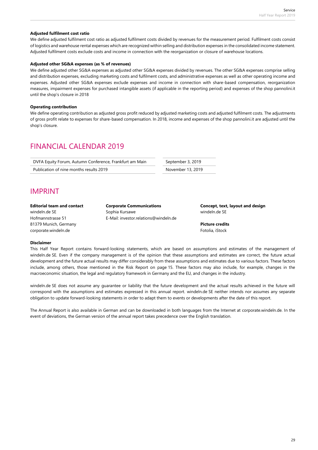#### **Adjusted fulfilment cost ratio**

We define adjusted fulfilment cost ratio as adjusted fulfilment costs divided by revenues for the measurement period. Fulfilment costs consist of logistics and warehouse rental expenses which are recognized within selling and distribution expenses in the consolidated income statement. Adjusted fulfilment costs exclude costs and income in connection with the reorganization or closure of warehouse locations.

#### **Adjusted other SG&A expenses (as % of revenues)**

We define adjusted other SG&A expenses as adjusted other SG&A expenses divided by revenues. The other SG&A expenses comprise selling and distribution expenses, excluding marketing costs and fulfilment costs, and administrative expenses as well as other operating income and expenses. Adjusted other SG&A expenses exclude expenses and income in connection with share-based compensation, reorganization measures, impairment expenses for purchased intangible assets (if applicable in the reporting period) and expenses of the shop pannolini.it until the shop's closure in 2018

#### **Operating contribution**

We define operating contribution as adjusted gross profit reduced by adjusted marketing costs and adjusted fulfilment costs. The adjustments of gross profit relate to expenses for share-based compensation. In 2018, income and expenses of the shop pannolini.it are adjusted until the shop's closure.

# FINANCIAL CALENDAR 2019

| DVFA Equity Forum, Autumn Conference, Frankfurt am Main | September 3, 2019 |  |  |
|---------------------------------------------------------|-------------------|--|--|
| Publication of nine months results 2019                 | November 13, 2019 |  |  |

# IMPRINT

81379 Munich, Germany **Picture credits** corporate.windeln.de Fotolia, iStock and the Fotolia, iStock and the Fotolia, iStock and the Fotolia, iStock and the Fotolia, iStock and the Fotolia, iStock and the Fotolia, iStock and the Fotolia, iStock and the Fotolia,

windeln.de SE Sophia Kursawe windeln.de SE Hofmannstrasse 51 E-Mail: investor.relations@windeln.de

**Editorial team and contact Corporate Communications Concept, text, layout and design**

#### **Disclaimer**

This Half Year Report contains forward-looking statements, which are based on assumptions and estimates of the management of windeln.de SE. Even if the company management is of the opinion that these assumptions and estimates are correct, the future actual development and the future actual results may differ considerably from these assumptions and estimates due to various factors. These factors include, among others, those mentioned in the Risk Report on page 15. These factors may also include, for example, changes in the macroeconomic situation, the legal and regulatory framework in Germany and the EU, and changes in the industry.

windeln.de SE does not assume any guarantee or liability that the future development and the actual results achieved in the future will correspond with the assumptions and estimates expressed in this annual report. windeln.de SE neither intends nor assumes any separate obligation to update forward-looking statements in order to adapt them to events or developments after the date of this report.

The Annual Report is also available in German and can be downloaded in both languages from the Internet at corporate.windeln.de. In the event of deviations, the German version of the annual report takes precedence over the English translation.